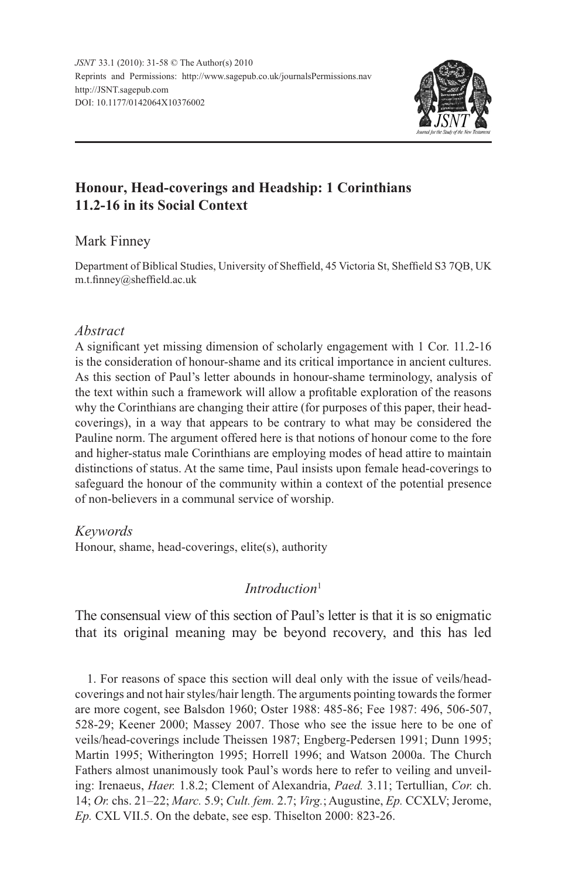

# **Honour, Head-coverings and Headship: 1 Corinthians 11.2-16 in its Social Context**

## Mark Finney

Department of Biblical Studies, University of Sheffield, 45 Victoria St, Sheffield S3 7QB, UK m.t.finney@sheffield.ac.uk

## *Abstract*

A significant yet missing dimension of scholarly engagement with 1 Cor. 11.2-16 is the consideration of honour-shame and its critical importance in ancient cultures. As this section of Paul's letter abounds in honour-shame terminology, analysis of the text within such a framework will allow a profitable exploration of the reasons why the Corinthians are changing their attire (for purposes of this paper, their headcoverings), in a way that appears to be contrary to what may be considered the Pauline norm. The argument offered here is that notions of honour come to the fore and higher-status male Corinthians are employing modes of head attire to maintain distinctions of status. At the same time, Paul insists upon female head-coverings to safeguard the honour of the community within a context of the potential presence of non-believers in a communal service of worship.

## *Keywords*

Honour, shame, head-coverings, elite(s), authority

## *Introduction*<sup>1</sup>

The consensual view of this section of Paul's letter is that it is so enigmatic that its original meaning may be beyond recovery, and this has led

1. For reasons of space this section will deal only with the issue of veils/headcoverings and not hair styles/hair length. The arguments pointing towards the former are more cogent, see Balsdon 1960; Oster 1988: 485-86; Fee 1987: 496, 506-507, 528-29; Keener 2000; Massey 2007. Those who see the issue here to be one of veils/head-coverings include Theissen 1987; Engberg-Pedersen 1991; Dunn 1995; Martin 1995; Witherington 1995; Horrell 1996; and Watson 2000a. The Church Fathers almost unanimously took Paul's words here to refer to veiling and unveiling: Irenaeus, *Haer.* 1.8.2; Clement of Alexandria, *Paed.* 3.11; Tertullian, *Cor.* ch. 14; *Or.* chs. 21–22; *Marc.* 5.9; *Cult. fem.* 2.7; *Virg.*; Augustine, *Ep.* CCXLV; Jerome, *Ep.* CXL VII.5. On the debate, see esp. Thiselton 2000: 823-26.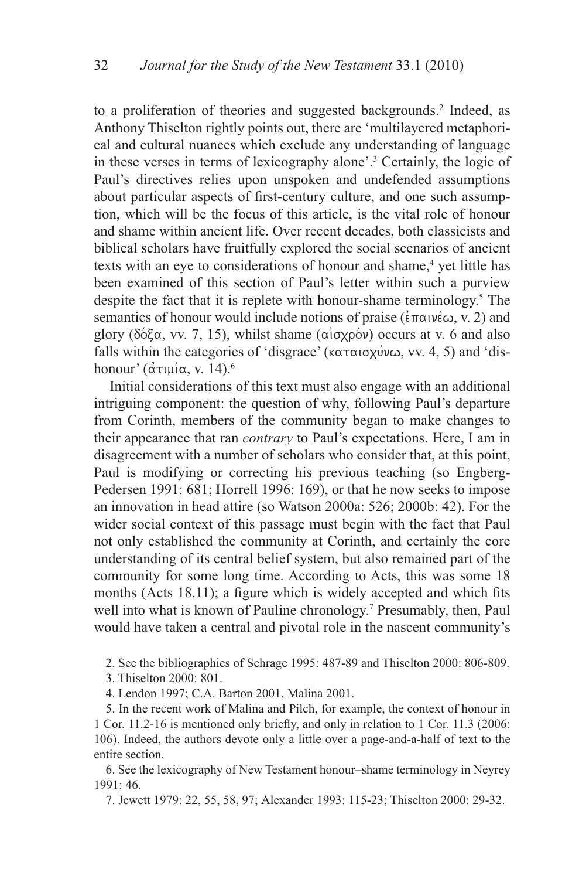to a proliferation of theories and suggested backgrounds.<sup>2</sup> Indeed, as Anthony Thiselton rightly points out, there are 'multilayered metaphorical and cultural nuances which exclude any understanding of language in these verses in terms of lexicography alone'.3 Certainly, the logic of Paul's directives relies upon unspoken and undefended assumptions about particular aspects of first-century culture, and one such assumption, which will be the focus of this article, is the vital role of honour and shame within ancient life. Over recent decades, both classicists and biblical scholars have fruitfully explored the social scenarios of ancient texts with an eye to considerations of honour and shame,<sup>4</sup> yet little has been examined of this section of Paul's letter within such a purview despite the fact that it is replete with honour-shame terminology.<sup>5</sup> The semantics of honour would include notions of praise ( $\epsilon \pi \alpha$ ) w $\epsilon \infty$ , v. 2) and glory ( $\delta \delta \xi \alpha$ , vv. 7, 15), whilst shame ( $\alpha \iota \sigma \chi \rho \delta \nu$ ) occurs at v. 6 and also falls within the categories of 'disgrace' ( $\kappa \alpha \tau \alpha \sigma \chi \psi \omega$ , vv. 4, 5) and 'dishonour' ( $\alpha\tau$ <sub>14</sub>),  $\alpha$ , v. 14).<sup>6</sup>

Initial considerations of this text must also engage with an additional intriguing component: the question of why, following Paul's departure from Corinth, members of the community began to make changes to their appearance that ran *contrary* to Paul's expectations. Here, I am in disagreement with a number of scholars who consider that, at this point, Paul is modifying or correcting his previous teaching (so Engberg-Pedersen 1991: 681; Horrell 1996: 169), or that he now seeks to impose an innovation in head attire (so Watson 2000a: 526; 2000b: 42). For the wider social context of this passage must begin with the fact that Paul not only established the community at Corinth, and certainly the core understanding of its central belief system, but also remained part of the community for some long time. According to Acts, this was some 18 months (Acts 18.11); a figure which is widely accepted and which fits well into what is known of Pauline chronology.<sup>7</sup> Presumably, then, Paul would have taken a central and pivotal role in the nascent community's

2. See the bibliographies of Schrage 1995: 487-89 and Thiselton 2000: 806-809.

3. Thiselton 2000: 801.

4. Lendon 1997; C.A. Barton 2001, Malina 2001.

5. In the recent work of Malina and Pilch, for example, the context of honour in 1 Cor. 11.2-16 is mentioned only briefly, and only in relation to 1 Cor. 11.3 (2006: 106). Indeed, the authors devote only a little over a page-and-a-half of text to the entire section.

6. See the lexicography of New Testament honour–shame terminology in Neyrey 1991: 46.

7. Jewett 1979: 22, 55, 58, 97; Alexander 1993: 115-23; Thiselton 2000: 29-32.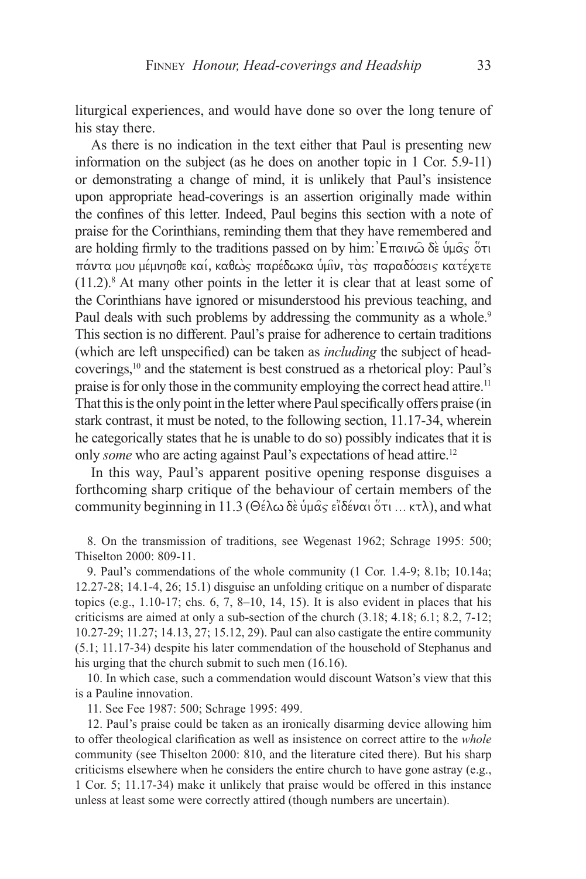liturgical experiences, and would have done so over the long tenure of his stay there.

As there is no indication in the text either that Paul is presenting new information on the subject (as he does on another topic in 1 Cor. 5.9-11) or demonstrating a change of mind, it is unlikely that Paul's insistence upon appropriate head-coverings is an assertion originally made within the confines of this letter. Indeed, Paul begins this section with a note of praise for the Corinthians, reminding them that they have remembered and are holding firmly to the traditions passed on by him:  $\mathsf{E}_{\pi}$   $\alpha_1 \alpha_0$   $\delta_2 \alpha_1$  of  $\alpha_2$ πάντα μου μέμνησθε καί, καθως παρέδωκα υμιν, τας παραδόσεις κατέχετε  $(11.2)$ .<sup>8</sup> At many other points in the letter it is clear that at least some of the Corinthians have ignored or misunderstood his previous teaching, and Paul deals with such problems by addressing the community as a whole.<sup>9</sup> This section is no different. Paul's praise for adherence to certain traditions (which are left unspecified) can be taken as *including* the subject of headcoverings,10 and the statement is best construed as a rhetorical ploy: Paul's praise is for only those in the community employing the correct head attire.<sup>11</sup> That this is the only point in the letter where Paul specifically offers praise (in stark contrast, it must be noted, to the following section, 11.17-34, wherein he categorically states that he is unable to do so) possibly indicates that it is only *some* who are acting against Paul's expectations of head attire.12

In this way, Paul's apparent positive opening response disguises a forthcoming sharp critique of the behaviour of certain members of the community beginning in 11.3 ( $\Theta \in \lambda \omega \delta \in \Psi$   $\alpha_5 \in \partial \Sigma$   $\delta \in \Psi$  on  $\sigma$ ), and what

8. On the transmission of traditions, see Wegenast 1962; Schrage 1995: 500; Thiselton 2000: 809-11.

9. Paul's commendations of the whole community (1 Cor. 1.4-9; 8.1b; 10.14a; 12.27-28; 14.1-4, 26; 15.1) disguise an unfolding critique on a number of disparate topics (e.g., 1.10-17; chs. 6, 7, 8–10, 14, 15). It is also evident in places that his criticisms are aimed at only a sub-section of the church (3.18; 4.18; 6.1; 8.2, 7-12; 10.27-29; 11.27; 14.13, 27; 15.12, 29). Paul can also castigate the entire community (5.1; 11.17-34) despite his later commendation of the household of Stephanus and his urging that the church submit to such men (16.16).

10. In which case, such a commendation would discount Watson's view that this is a Pauline innovation.

11. See Fee 1987: 500; Schrage 1995: 499.

12. Paul's praise could be taken as an ironically disarming device allowing him to offer theological clarification as well as insistence on correct attire to the *whole* community (see Thiselton 2000: 810, and the literature cited there). But his sharp criticisms elsewhere when he considers the entire church to have gone astray (e.g., 1 Cor. 5; 11.17-34) make it unlikely that praise would be offered in this instance unless at least some were correctly attired (though numbers are uncertain).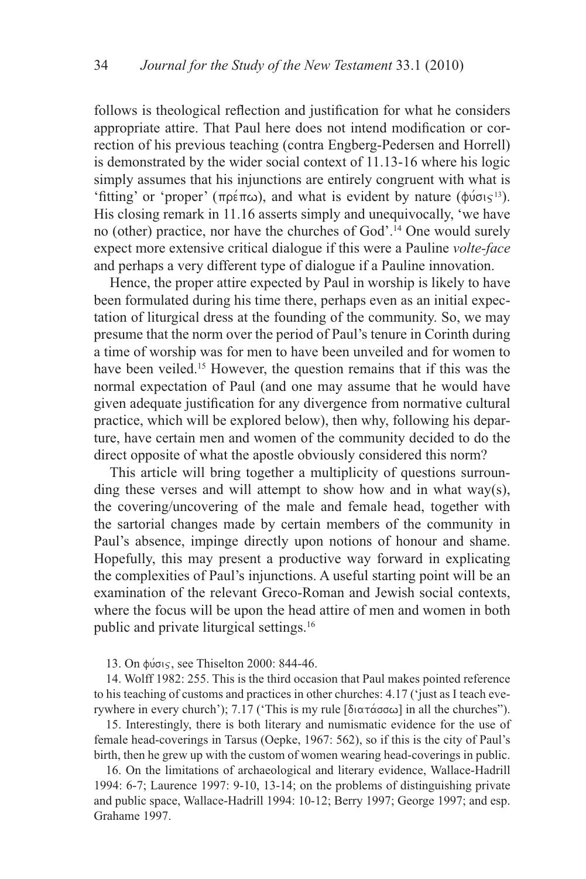follows is theological reflection and justification for what he considers appropriate attire. That Paul here does not intend modification or correction of his previous teaching (contra Engberg-Pedersen and Horrell) is demonstrated by the wider social context of 11.13-16 where his logic simply assumes that his injunctions are entirely congruent with what is 'fitting' or 'proper' ( $\pi \rho \in (\pi \rho)$ ), and what is evident by nature ( $\phi \nu \sigma g^{13}$ ). His closing remark in 11.16 asserts simply and unequivocally, 'we have no (other) practice, nor have the churches of God'.<sup>14</sup> One would surely expect more extensive critical dialogue if this were a Pauline *volte-face*  and perhaps a very different type of dialogue if a Pauline innovation.

Hence, the proper attire expected by Paul in worship is likely to have been formulated during his time there, perhaps even as an initial expectation of liturgical dress at the founding of the community. So, we may presume that the norm over the period of Paul's tenure in Corinth during a time of worship was for men to have been unveiled and for women to have been veiled.<sup>15</sup> However, the question remains that if this was the normal expectation of Paul (and one may assume that he would have given adequate justification for any divergence from normative cultural practice, which will be explored below), then why, following his departure, have certain men and women of the community decided to do the direct opposite of what the apostle obviously considered this norm?

This article will bring together a multiplicity of questions surrounding these verses and will attempt to show how and in what way(s), the covering/uncovering of the male and female head, together with the sartorial changes made by certain members of the community in Paul's absence, impinge directly upon notions of honour and shame. Hopefully, this may present a productive way forward in explicating the complexities of Paul's injunctions. A useful starting point will be an examination of the relevant Greco-Roman and Jewish social contexts, where the focus will be upon the head attire of men and women in both public and private liturgical settings.16

13. On φύσις, see Thiselton 2000: 844-46.

14. Wolff 1982: 255. This is the third occasion that Paul makes pointed reference to his teaching of customs and practices in other churches: 4.17 ('just as I teach everywhere in every church'); 7.17 ('This is my rule [διατάσσω] in all the churches'').

15. Interestingly, there is both literary and numismatic evidence for the use of female head-coverings in Tarsus (Oepke, 1967: 562), so if this is the city of Paul's birth, then he grew up with the custom of women wearing head-coverings in public.

16. On the limitations of archaeological and literary evidence, Wallace-Hadrill 1994: 6-7; Laurence 1997: 9-10, 13-14; on the problems of distinguishing private and public space, Wallace-Hadrill 1994: 10-12; Berry 1997; George 1997; and esp. Grahame 1997.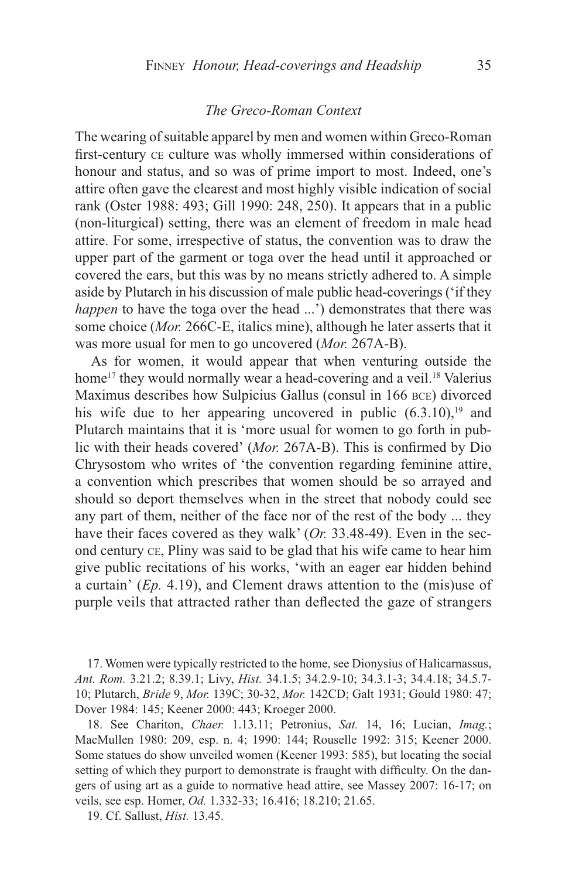### *The Greco-Roman Context*

The wearing of suitable apparel by men and women within Greco-Roman first-century ce culture was wholly immersed within considerations of honour and status, and so was of prime import to most. Indeed, one's attire often gave the clearest and most highly visible indication of social rank (Oster 1988: 493; Gill 1990: 248, 250). It appears that in a public (non-liturgical) setting, there was an element of freedom in male head attire. For some, irrespective of status, the convention was to draw the upper part of the garment or toga over the head until it approached or covered the ears, but this was by no means strictly adhered to. A simple aside by Plutarch in his discussion of male public head-coverings ('if they *happen* to have the toga over the head ...') demonstrates that there was some choice (*Mor.* 266C-E, italics mine), although he later asserts that it was more usual for men to go uncovered (*Mor.* 267A-B).

As for women, it would appear that when venturing outside the home<sup>17</sup> they would normally wear a head-covering and a veil.<sup>18</sup> Valerius Maximus describes how Sulpicius Gallus (consul in 166 bce) divorced his wife due to her appearing uncovered in public  $(6.3.10)$ ,<sup>19</sup> and Plutarch maintains that it is 'more usual for women to go forth in public with their heads covered' (*Mor.* 267A-B). This is confirmed by Dio Chrysostom who writes of 'the convention regarding feminine attire, a convention which prescribes that women should be so arrayed and should so deport themselves when in the street that nobody could see any part of them, neither of the face nor of the rest of the body ... they have their faces covered as they walk' (*Or.* 33.48-49). Even in the second century ce, Pliny was said to be glad that his wife came to hear him give public recitations of his works, 'with an eager ear hidden behind a curtain' (*Ep.* 4.19), and Clement draws attention to the (mis)use of purple veils that attracted rather than deflected the gaze of strangers

17. Women were typically restricted to the home, see Dionysius of Halicarnassus, *Ant. Rom.* 3.21.2; 8.39.1; Livy, *Hist.* 34.1.5; 34.2.9-10; 34.3.1-3; 34.4.18; 34.5.7- 10; Plutarch, *Bride* 9, *Mor.* 139C; 30-32, *Mor.* 142CD; Galt 1931; Gould 1980: 47; Dover 1984: 145; Keener 2000: 443; Kroeger 2000.

18. See Chariton, *Chaer.* 1.13.11; Petronius, *Sat.* 14, 16; Lucian, *Imag.*; MacMullen 1980: 209, esp. n. 4; 1990: 144; Rouselle 1992: 315; Keener 2000. Some statues do show unveiled women (Keener 1993: 585), but locating the social setting of which they purport to demonstrate is fraught with difficulty. On the dangers of using art as a guide to normative head attire, see Massey 2007: 16-17; on veils, see esp. Homer, *Od.* 1.332-33; 16.416; 18.210; 21.65.

19. Cf. Sallust, *Hist.* 13.45.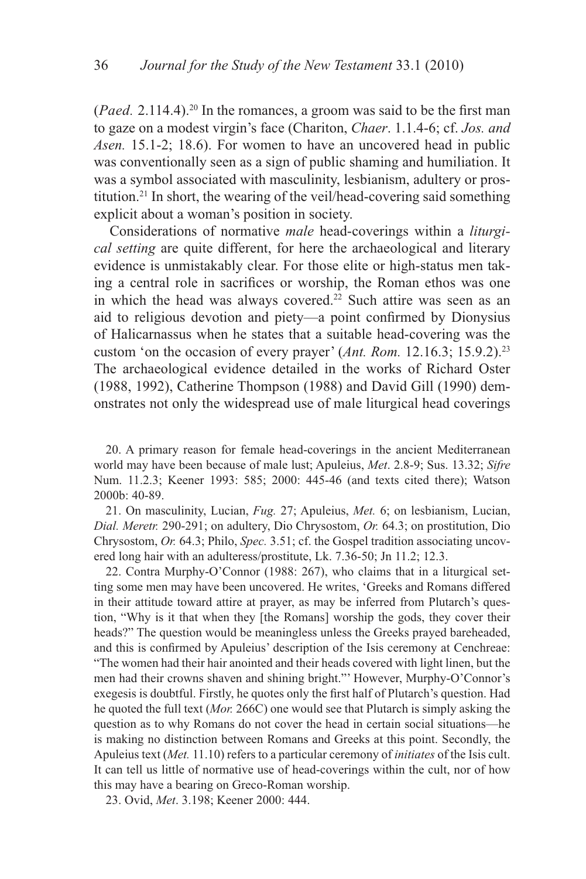(*Paed.* 2.114.4).20 In the romances, a groom was said to be the first man to gaze on a modest virgin's face (Chariton, *Chaer*. 1.1.4-6; cf. *Jos. and Asen.* 15.1-2; 18.6). For women to have an uncovered head in public was conventionally seen as a sign of public shaming and humiliation. It was a symbol associated with masculinity, lesbianism, adultery or prostitution.21 In short, the wearing of the veil/head-covering said something explicit about a woman's position in society.

Considerations of normative *male* head-coverings within a *liturgical setting* are quite different, for here the archaeological and literary evidence is unmistakably clear. For those elite or high-status men taking a central role in sacrifices or worship, the Roman ethos was one in which the head was always covered.<sup>22</sup> Such attire was seen as an aid to religious devotion and piety—a point confirmed by Dionysius of Halicarnassus when he states that a suitable head-covering was the custom 'on the occasion of every prayer' (*Ant. Rom.* 12.16.3; 15.9.2).23 The archaeological evidence detailed in the works of Richard Oster (1988, 1992), Catherine Thompson (1988) and David Gill (1990) demonstrates not only the widespread use of male liturgical head coverings

20. A primary reason for female head-coverings in the ancient Mediterranean world may have been because of male lust; Apuleius, *Met*. 2.8-9; Sus. 13.32; *Sifre*  Num. 11.2.3; Keener 1993: 585; 2000: 445-46 (and texts cited there); Watson 2000b: 40-89.

21. On masculinity, Lucian, *Fug.* 27; Apuleius, *Met.* 6; on lesbianism, Lucian, *Dial. Meretr.* 290-291; on adultery, Dio Chrysostom, *Or.* 64.3; on prostitution, Dio Chrysostom, *Or.* 64.3; Philo, *Spec.* 3.51; cf. the Gospel tradition associating uncovered long hair with an adulteress/prostitute, Lk. 7.36-50; Jn 11.2; 12.3.

22. Contra Murphy-O'Connor (1988: 267), who claims that in a liturgical setting some men may have been uncovered. He writes, 'Greeks and Romans differed in their attitude toward attire at prayer, as may be inferred from Plutarch's question, "Why is it that when they [the Romans] worship the gods, they cover their heads?" The question would be meaningless unless the Greeks prayed bareheaded, and this is confirmed by Apuleius' description of the Isis ceremony at Cenchreae: "The women had their hair anointed and their heads covered with light linen, but the men had their crowns shaven and shining bright."' However, Murphy-O'Connor's exegesis is doubtful. Firstly, he quotes only the first half of Plutarch's question. Had he quoted the full text (*Mor.* 266C) one would see that Plutarch is simply asking the question as to why Romans do not cover the head in certain social situations—he is making no distinction between Romans and Greeks at this point. Secondly, the Apuleius text (*Met.* 11.10) refers to a particular ceremony of *initiates* of the Isis cult. It can tell us little of normative use of head-coverings within the cult, nor of how this may have a bearing on Greco-Roman worship.

23. Ovid, *Met*. 3.198; Keener 2000: 444.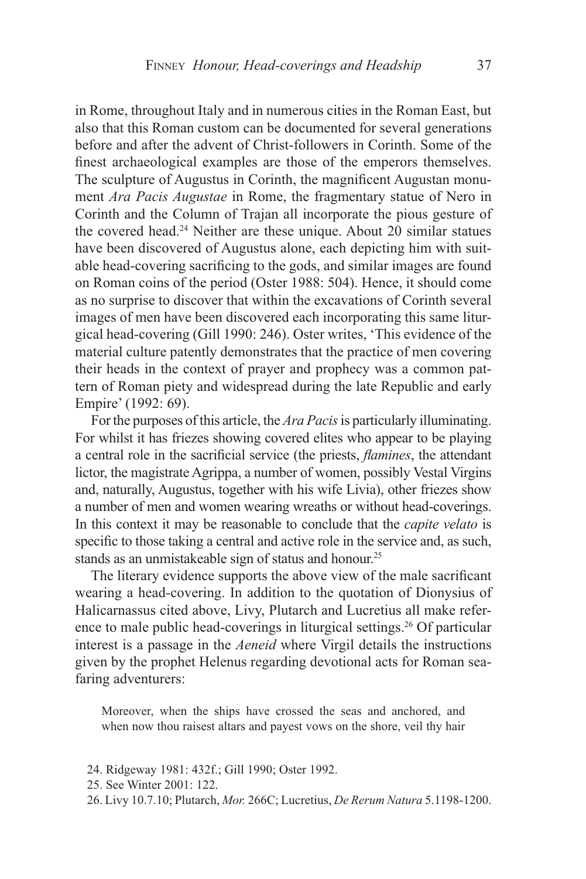in Rome, throughout Italy and in numerous cities in the Roman East, but also that this Roman custom can be documented for several generations before and after the advent of Christ-followers in Corinth. Some of the finest archaeological examples are those of the emperors themselves. The sculpture of Augustus in Corinth, the magnificent Augustan monument *Ara Pacis Augustae* in Rome, the fragmentary statue of Nero in Corinth and the Column of Trajan all incorporate the pious gesture of the covered head.24 Neither are these unique. About 20 similar statues have been discovered of Augustus alone, each depicting him with suitable head-covering sacrificing to the gods, and similar images are found on Roman coins of the period (Oster 1988: 504). Hence, it should come as no surprise to discover that within the excavations of Corinth several images of men have been discovered each incorporating this same liturgical head-covering (Gill 1990: 246). Oster writes, 'This evidence of the material culture patently demonstrates that the practice of men covering their heads in the context of prayer and prophecy was a common pattern of Roman piety and widespread during the late Republic and early Empire' (1992: 69).

For the purposes of this article, the *Ara Pacis* is particularly illuminating. For whilst it has friezes showing covered elites who appear to be playing a central role in the sacrificial service (the priests, *flamines*, the attendant lictor, the magistrate Agrippa, a number of women, possibly Vestal Virgins and, naturally, Augustus, together with his wife Livia), other friezes show a number of men and women wearing wreaths or without head-coverings. In this context it may be reasonable to conclude that the *capite velato* is specific to those taking a central and active role in the service and, as such, stands as an unmistakeable sign of status and honour.<sup>25</sup>

The literary evidence supports the above view of the male sacrificant wearing a head-covering. In addition to the quotation of Dionysius of Halicarnassus cited above, Livy, Plutarch and Lucretius all make reference to male public head-coverings in liturgical settings.<sup>26</sup> Of particular interest is a passage in the *Aeneid* where Virgil details the instructions given by the prophet Helenus regarding devotional acts for Roman seafaring adventurers:

Moreover, when the ships have crossed the seas and anchored, and when now thou raisest altars and payest vows on the shore, veil thy hair

- 24. Ridgeway 1981: 432f.; Gill 1990; Oster 1992.
- 25. See Winter 2001: 122.
- 26. Livy 10.7.10; Plutarch, *Mor.* 266C; Lucretius, *De Rerum Natura* 5.1198-1200.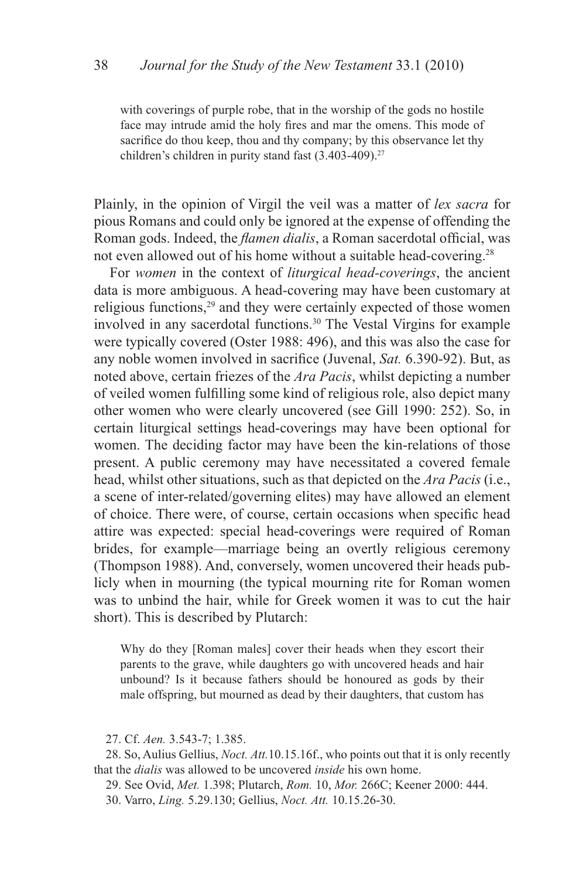with coverings of purple robe, that in the worship of the gods no hostile face may intrude amid the holy fires and mar the omens. This mode of sacrifice do thou keep, thou and thy company; by this observance let thy children's children in purity stand fast  $(3.403-409)^{27}$ 

Plainly, in the opinion of Virgil the veil was a matter of *lex sacra* for pious Romans and could only be ignored at the expense of offending the Roman gods. Indeed, the *flamen dialis*, a Roman sacerdotal official, was not even allowed out of his home without a suitable head-covering.<sup>28</sup>

For *women* in the context of *liturgical head-coverings*, the ancient data is more ambiguous. A head-covering may have been customary at religious functions,<sup>29</sup> and they were certainly expected of those women involved in any sacerdotal functions.<sup>30</sup> The Vestal Virgins for example were typically covered (Oster 1988: 496), and this was also the case for any noble women involved in sacrifice (Juvenal, *Sat.* 6.390-92). But, as noted above, certain friezes of the *Ara Pacis*, whilst depicting a number of veiled women fulfilling some kind of religious role, also depict many other women who were clearly uncovered (see Gill 1990: 252). So, in certain liturgical settings head-coverings may have been optional for women. The deciding factor may have been the kin-relations of those present. A public ceremony may have necessitated a covered female head, whilst other situations, such as that depicted on the *Ara Pacis* (i.e., a scene of inter-related/governing elites) may have allowed an element of choice. There were, of course, certain occasions when specific head attire was expected: special head-coverings were required of Roman brides, for example—marriage being an overtly religious ceremony (Thompson 1988). And, conversely, women uncovered their heads publicly when in mourning (the typical mourning rite for Roman women was to unbind the hair, while for Greek women it was to cut the hair short). This is described by Plutarch:

Why do they [Roman males] cover their heads when they escort their parents to the grave, while daughters go with uncovered heads and hair unbound? Is it because fathers should be honoured as gods by their male offspring, but mourned as dead by their daughters, that custom has

28. So, Aulius Gellius, *Noct. Att.*10.15.16f., who points out that it is only recently that the *dialis* was allowed to be uncovered *inside* his own home.

29. See Ovid, *Met.* 1.398; Plutarch, *Rom.* 10, *Mor.* 266C; Keener 2000: 444. 30. Varro, *Ling.* 5.29.130; Gellius, *Noct. Att.* 10.15.26-30.

<sup>27.</sup> Cf. *Aen.* 3.543-7; 1.385.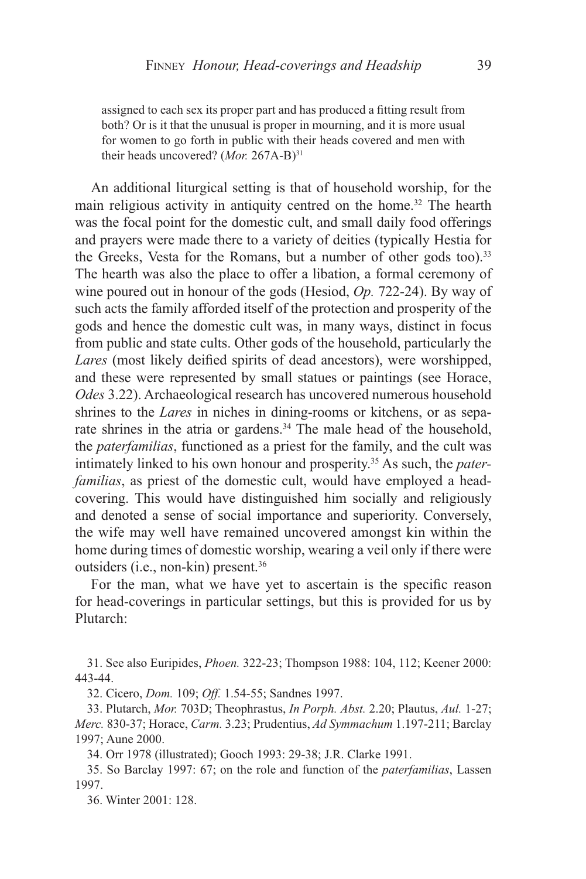assigned to each sex its proper part and has produced a fitting result from both? Or is it that the unusual is proper in mourning, and it is more usual for women to go forth in public with their heads covered and men with their heads uncovered? (Mor. 267A-B)<sup>31</sup>

An additional liturgical setting is that of household worship, for the main religious activity in antiquity centred on the home.<sup>32</sup> The hearth was the focal point for the domestic cult, and small daily food offerings and prayers were made there to a variety of deities (typically Hestia for the Greeks, Vesta for the Romans, but a number of other gods too).<sup>33</sup> The hearth was also the place to offer a libation, a formal ceremony of wine poured out in honour of the gods (Hesiod, *Op.* 722-24). By way of such acts the family afforded itself of the protection and prosperity of the gods and hence the domestic cult was, in many ways, distinct in focus from public and state cults. Other gods of the household, particularly the *Lares* (most likely deified spirits of dead ancestors), were worshipped, and these were represented by small statues or paintings (see Horace, *Odes* 3.22). Archaeological research has uncovered numerous household shrines to the *Lares* in niches in dining-rooms or kitchens, or as separate shrines in the atria or gardens.<sup>34</sup> The male head of the household, the *paterfamilias*, functioned as a priest for the family, and the cult was intimately linked to his own honour and prosperity.35 As such, the *paterfamilias*, as priest of the domestic cult, would have employed a headcovering. This would have distinguished him socially and religiously and denoted a sense of social importance and superiority. Conversely, the wife may well have remained uncovered amongst kin within the home during times of domestic worship, wearing a veil only if there were outsiders (i.e., non-kin) present.36

For the man, what we have yet to ascertain is the specific reason for head-coverings in particular settings, but this is provided for us by Plutarch:

31. See also Euripides, *Phoen.* 322-23; Thompson 1988: 104, 112; Keener 2000: 443-44.

32. Cicero, *Dom.* 109; *Off.* 1.54-55; Sandnes 1997.

33. Plutarch, *Mor.* 703D; Theophrastus, *In Porph. Abst.* 2.20; Plautus, *Aul.* 1-27; *Merc.* 830-37; Horace, *Carm.* 3.23; Prudentius, *Ad Symmachum* 1.197-211; Barclay 1997; Aune 2000.

34. Orr 1978 (illustrated); Gooch 1993: 29-38; J.R. Clarke 1991.

35. So Barclay 1997: 67; on the role and function of the *paterfamilias*, Lassen 1997.

36. Winter 2001: 128.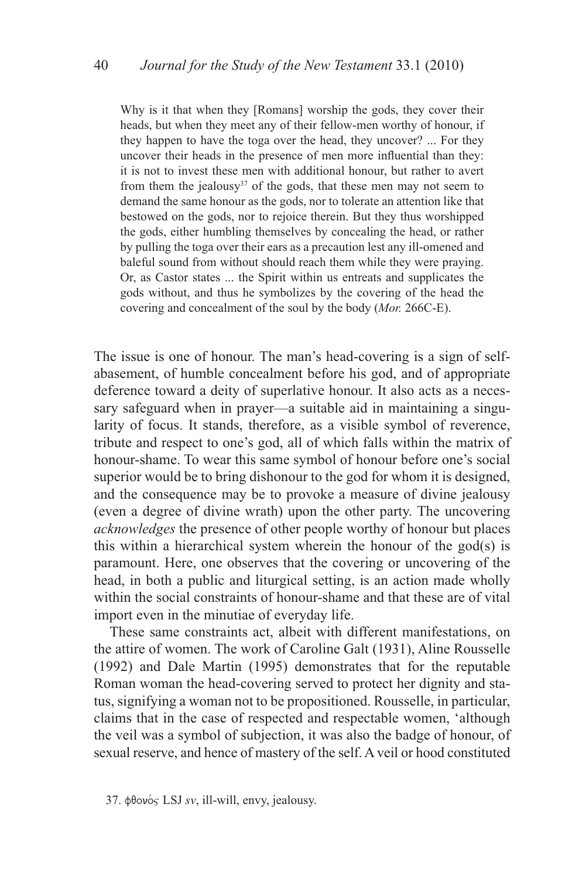Why is it that when they [Romans] worship the gods, they cover their heads, but when they meet any of their fellow-men worthy of honour, if they happen to have the toga over the head, they uncover? ... For they uncover their heads in the presence of men more influential than they: it is not to invest these men with additional honour, but rather to avert from them the jealousy<sup>37</sup> of the gods, that these men may not seem to demand the same honour as the gods, nor to tolerate an attention like that bestowed on the gods, nor to rejoice therein. But they thus worshipped the gods, either humbling themselves by concealing the head, or rather by pulling the toga over their ears as a precaution lest any ill-omened and baleful sound from without should reach them while they were praying. Or, as Castor states ... the Spirit within us entreats and supplicates the gods without, and thus he symbolizes by the covering of the head the covering and concealment of the soul by the body (*Mor.* 266C-E).

The issue is one of honour. The man's head-covering is a sign of selfabasement, of humble concealment before his god, and of appropriate deference toward a deity of superlative honour. It also acts as a necessary safeguard when in prayer—a suitable aid in maintaining a singularity of focus. It stands, therefore, as a visible symbol of reverence, tribute and respect to one's god, all of which falls within the matrix of honour-shame. To wear this same symbol of honour before one's social superior would be to bring dishonour to the god for whom it is designed, and the consequence may be to provoke a measure of divine jealousy (even a degree of divine wrath) upon the other party. The uncovering *acknowledges* the presence of other people worthy of honour but places this within a hierarchical system wherein the honour of the god(s) is paramount. Here, one observes that the covering or uncovering of the head, in both a public and liturgical setting, is an action made wholly within the social constraints of honour-shame and that these are of vital import even in the minutiae of everyday life.

These same constraints act, albeit with different manifestations, on the attire of women. The work of Caroline Galt (1931), Aline Rousselle (1992) and Dale Martin (1995) demonstrates that for the reputable Roman woman the head-covering served to protect her dignity and status, signifying a woman not to be propositioned. Rousselle, in particular, claims that in the case of respected and respectable women, 'although the veil was a symbol of subjection, it was also the badge of honour, of sexual reserve, and hence of mastery of the self. A veil or hood constituted

 $37.$   $\phi\theta\circ\phi_S$  LSJ *sv*, ill-will, envy, jealousy.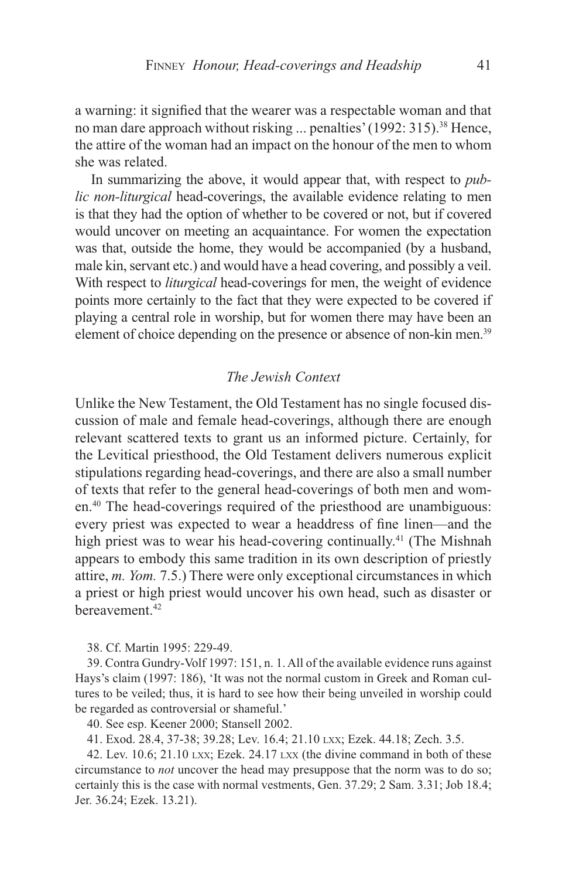a warning: it signified that the wearer was a respectable woman and that no man dare approach without risking ... penalties' (1992: 315).<sup>38</sup> Hence, the attire of the woman had an impact on the honour of the men to whom she was related.

In summarizing the above, it would appear that, with respect to *public non-liturgical* head-coverings, the available evidence relating to men is that they had the option of whether to be covered or not, but if covered would uncover on meeting an acquaintance. For women the expectation was that, outside the home, they would be accompanied (by a husband, male kin, servant etc.) and would have a head covering, and possibly a veil. With respect to *liturgical* head-coverings for men, the weight of evidence points more certainly to the fact that they were expected to be covered if playing a central role in worship, but for women there may have been an element of choice depending on the presence or absence of non-kin men.<sup>39</sup>

## *The Jewish Context*

Unlike the New Testament, the Old Testament has no single focused discussion of male and female head-coverings, although there are enough relevant scattered texts to grant us an informed picture. Certainly, for the Levitical priesthood, the Old Testament delivers numerous explicit stipulations regarding head-coverings, and there are also a small number of texts that refer to the general head-coverings of both men and women.40 The head-coverings required of the priesthood are unambiguous: every priest was expected to wear a headdress of fine linen—and the high priest was to wear his head-covering continually.<sup>41</sup> (The Mishnah appears to embody this same tradition in its own description of priestly attire, *m. Yom.* 7.5.) There were only exceptional circumstances in which a priest or high priest would uncover his own head, such as disaster or bereavement.42

38. Cf. Martin 1995: 229-49.

39. Contra Gundry-Volf 1997: 151, n. 1. All of the available evidence runs against Hays's claim (1997: 186), 'It was not the normal custom in Greek and Roman cultures to be veiled; thus, it is hard to see how their being unveiled in worship could be regarded as controversial or shameful.'

40. See esp. Keener 2000; Stansell 2002.

41. Exod. 28.4, 37-38; 39.28; Lev. 16.4; 21.10 lxx; Ezek. 44.18; Zech. 3.5.

42. Lev. 10.6;  $21.10 \text{ LXX}$ ; Ezek.  $24.17 \text{ LXX}$  (the divine command in both of these circumstance to *not* uncover the head may presuppose that the norm was to do so; certainly this is the case with normal vestments, Gen. 37.29; 2 Sam. 3.31; Job 18.4; Jer. 36.24; Ezek. 13.21).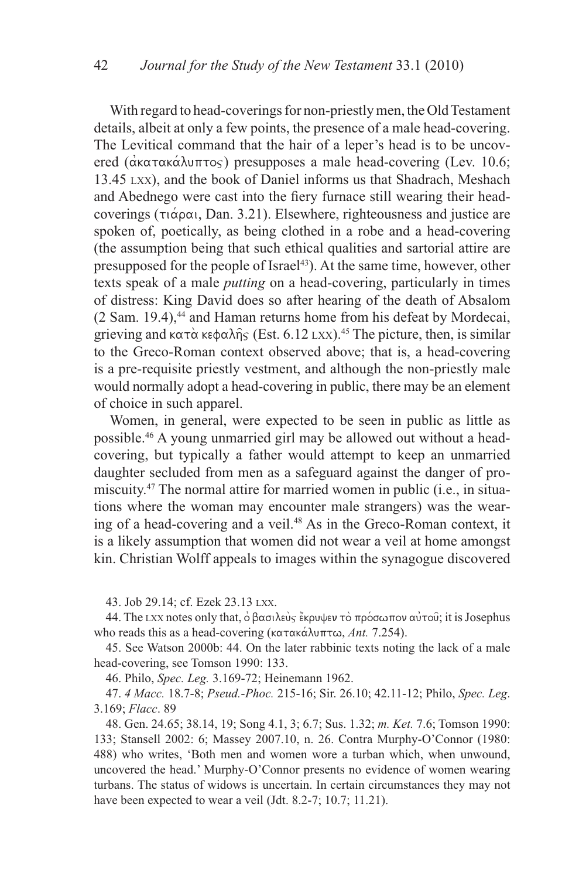With regard to head-coverings for non-priestly men, the Old Testament details, albeit at only a few points, the presence of a male head-covering. The Levitical command that the hair of a leper's head is to be uncovered ( $\alpha$ κατακάλυπτος) presupposes a male head-covering (Lev. 10.6; 13.45 lxx), and the book of Daniel informs us that Shadrach, Meshach and Abednego were cast into the fiery furnace still wearing their headcoverings ( $\tau_1 \overset{\cdot}{\alpha} \rho \alpha_1$ , Dan. 3.21). Elsewhere, righteousness and justice are spoken of, poetically, as being clothed in a robe and a head-covering (the assumption being that such ethical qualities and sartorial attire are presupposed for the people of Israel<sup>43</sup>). At the same time, however, other texts speak of a male *putting* on a head-covering, particularly in times of distress: King David does so after hearing of the death of Absalom  $(2 Sam. 19.4)$ ,<sup>44</sup> and Haman returns home from his defeat by Mordecai, grieving and  $\kappa \alpha \tau \dot{\alpha} \kappa \phi \alpha \lambda \hat{\eta}$  (Est. 6.12 Lxx).<sup>45</sup> The picture, then, is similar to the Greco-Roman context observed above; that is, a head-covering is a pre-requisite priestly vestment, and although the non-priestly male would normally adopt a head-covering in public, there may be an element of choice in such apparel.

Women, in general, were expected to be seen in public as little as possible.46 A young unmarried girl may be allowed out without a headcovering, but typically a father would attempt to keep an unmarried daughter secluded from men as a safeguard against the danger of promiscuity.47 The normal attire for married women in public (i.e., in situations where the woman may encounter male strangers) was the wearing of a head-covering and a veil.48 As in the Greco-Roman context, it is a likely assumption that women did not wear a veil at home amongst kin. Christian Wolff appeals to images within the synagogue discovered

43. Job 29.14; cf. Ezek 23.13 lxx.

44. The LXX notes only that, ό βασιλεύς έκρυψεν τὸ πρόσωπον αὐτοῦ; it is Josephus who reads this as a head-covering (κατακάλυπτω, *Ant.* 7.254).

45. See Watson 2000b: 44. On the later rabbinic texts noting the lack of a male head-covering, see Tomson 1990: 133.

46. Philo, *Spec. Leg.* 3.169-72; Heinemann 1962.

47. *4 Macc.* 18.7-8; *Pseud.-Phoc.* 215-16; Sir. 26.10; 42.11-12; Philo, *Spec. Leg*. 3.169; *Flacc*. 89

48. Gen. 24.65; 38.14, 19; Song 4.1, 3; 6.7; Sus. 1.32; *m. Ket.* 7.6; Tomson 1990: 133; Stansell 2002: 6; Massey 2007.10, n. 26. Contra Murphy-O'Connor (1980: 488) who writes, 'Both men and women wore a turban which, when unwound, uncovered the head.' Murphy-O'Connor presents no evidence of women wearing turbans. The status of widows is uncertain. In certain circumstances they may not have been expected to wear a veil (Jdt. 8.2-7; 10.7; 11.21).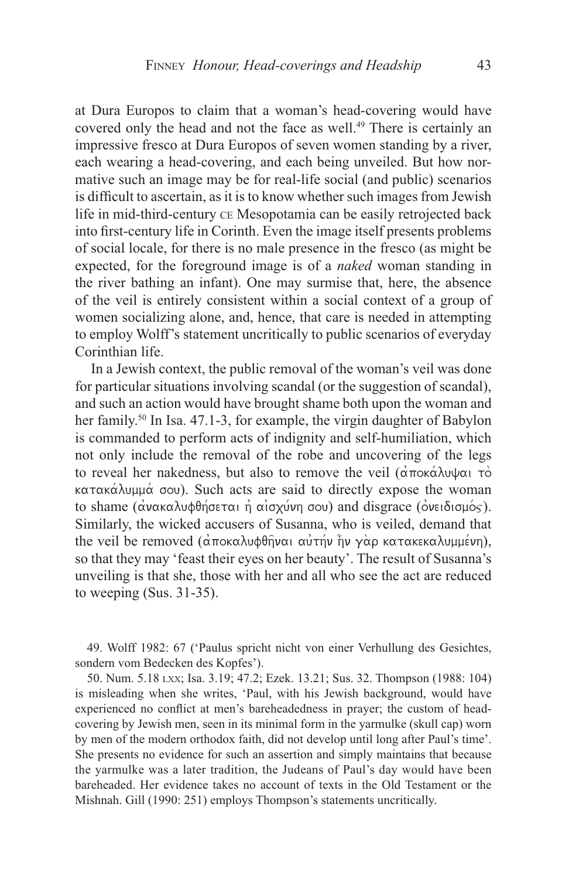at Dura Europos to claim that a woman's head-covering would have covered only the head and not the face as well.<sup>49</sup> There is certainly an impressive fresco at Dura Europos of seven women standing by a river, each wearing a head-covering, and each being unveiled. But how normative such an image may be for real-life social (and public) scenarios is difficult to ascertain, as it is to know whether such images from Jewish life in mid-third-century ce Mesopotamia can be easily retrojected back into first-century life in Corinth. Even the image itself presents problems of social locale, for there is no male presence in the fresco (as might be expected, for the foreground image is of a *naked* woman standing in the river bathing an infant). One may surmise that, here, the absence of the veil is entirely consistent within a social context of a group of women socializing alone, and, hence, that care is needed in attempting to employ Wolff's statement uncritically to public scenarios of everyday Corinthian life.

In a Jewish context, the public removal of the woman's veil was done for particular situations involving scandal (or the suggestion of scandal), and such an action would have brought shame both upon the woman and her family.<sup>50</sup> In Isa, 47.1-3, for example, the virgin daughter of Babylon is commanded to perform acts of indignity and self-humiliation, which not only include the removal of the robe and uncovering of the legs to reveal her nakedness, but also to remove the veil (αποκάλυψαι τὸ  $\kappa$ ατακάλυμμά σου). Such acts are said to directly expose the woman to shame (ανακαλυφθήσεται η αισχύνη σου) and disgrace (ονειδισμός). Similarly, the wicked accusers of Susanna, who is veiled, demand that the veil be removed (αποκαλυφθήναι αυτήν ήν γαρ κατακεκαλυμμένη), so that they may 'feast their eyes on her beauty'. The result of Susanna's unveiling is that she, those with her and all who see the act are reduced to weeping (Sus. 31-35).

49. Wolff 1982: 67 ('Paulus spricht nicht von einer Verhullung des Gesichtes, sondern vom Bedecken des Kopfes').

50. Num. 5.18 lxx; Isa. 3.19; 47.2; Ezek. 13.21; Sus. 32. Thompson (1988: 104) is misleading when she writes, 'Paul, with his Jewish background, would have experienced no conflict at men's bareheadedness in prayer; the custom of headcovering by Jewish men, seen in its minimal form in the yarmulke (skull cap) worn by men of the modern orthodox faith, did not develop until long after Paul's time'. She presents no evidence for such an assertion and simply maintains that because the yarmulke was a later tradition, the Judeans of Paul's day would have been bareheaded. Her evidence takes no account of texts in the Old Testament or the Mishnah. Gill (1990: 251) employs Thompson's statements uncritically.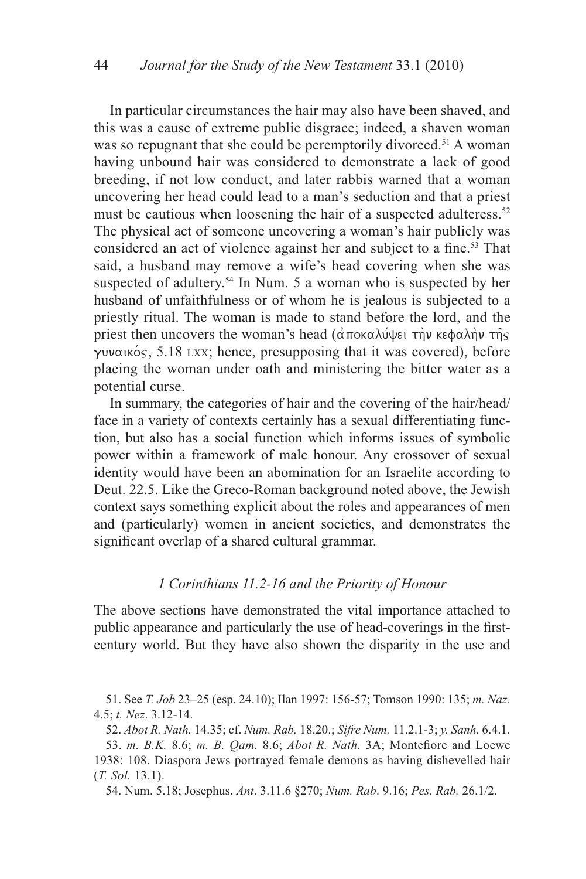In particular circumstances the hair may also have been shaved, and this was a cause of extreme public disgrace; indeed, a shaven woman was so repugnant that she could be peremptorily divorced.<sup>51</sup> A woman having unbound hair was considered to demonstrate a lack of good breeding, if not low conduct, and later rabbis warned that a woman uncovering her head could lead to a man's seduction and that a priest must be cautious when loosening the hair of a suspected adulteress.<sup>52</sup> The physical act of someone uncovering a woman's hair publicly was considered an act of violence against her and subject to a fine.53 That said, a husband may remove a wife's head covering when she was suspected of adultery.<sup>54</sup> In Num. 5 a woman who is suspected by her husband of unfaithfulness or of whom he is jealous is subjected to a priestly ritual. The woman is made to stand before the lord, and the priest then uncovers the woman's head  $(\vec{\alpha} \pi$ oka $\vec{\alpha}$   $\vec{\beta}$  to kegalh $\vec{\beta}$  the  $\gamma$ uvaikos, 5.18 LXX; hence, presupposing that it was covered), before placing the woman under oath and ministering the bitter water as a potential curse.

In summary, the categories of hair and the covering of the hair/head/ face in a variety of contexts certainly has a sexual differentiating function, but also has a social function which informs issues of symbolic power within a framework of male honour. Any crossover of sexual identity would have been an abomination for an Israelite according to Deut. 22.5. Like the Greco-Roman background noted above, the Jewish context says something explicit about the roles and appearances of men and (particularly) women in ancient societies, and demonstrates the significant overlap of a shared cultural grammar.

## *1 Corinthians 11.2-16 and the Priority of Honour*

The above sections have demonstrated the vital importance attached to public appearance and particularly the use of head-coverings in the firstcentury world. But they have also shown the disparity in the use and

51. See *T. Job* 23–25 (esp. 24.10); Ilan 1997: 156-57; Tomson 1990: 135; *m. Naz.* 4.5; *t. Nez*. 3.12-14.

52. *Abot R. Nath.* 14.35; cf. *Num. Rab.* 18.20.; *Sifre Num.* 11.2.1-3; *y. Sanh.* 6.4.1. 53. *m. B.K.* 8.6; *m. B. Qam.* 8.6; *Abot R. Nath.* 3A; Montefiore and Loewe 1938: 108. Diaspora Jews portrayed female demons as having dishevelled hair (*T. Sol.* 13.1).

54. Num. 5.18; Josephus, *Ant*. 3.11.6 §270; *Num. Rab*. 9.16; *Pes. Rab.* 26.1/2.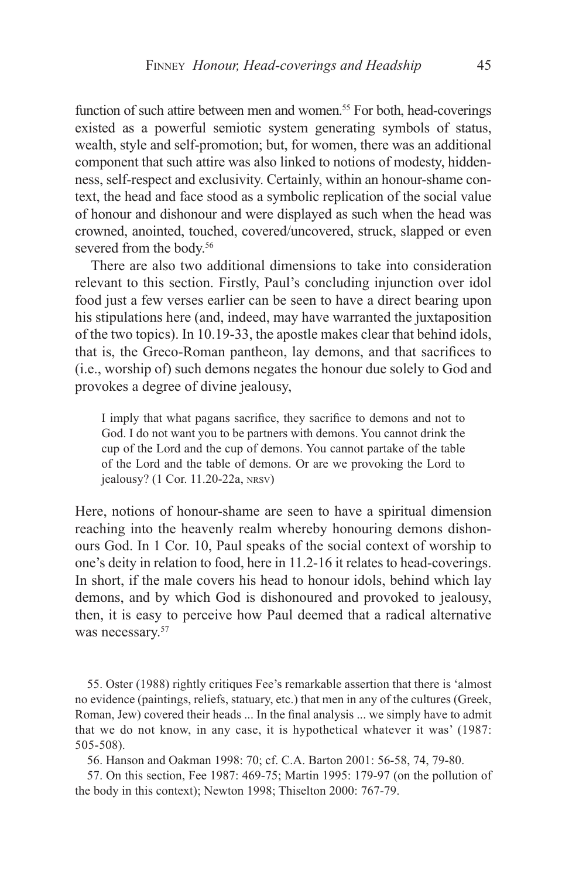function of such attire between men and women.<sup>55</sup> For both, head-coverings existed as a powerful semiotic system generating symbols of status, wealth, style and self-promotion; but, for women, there was an additional component that such attire was also linked to notions of modesty, hiddenness, self-respect and exclusivity. Certainly, within an honour-shame context, the head and face stood as a symbolic replication of the social value of honour and dishonour and were displayed as such when the head was crowned, anointed, touched, covered/uncovered, struck, slapped or even severed from the body.<sup>56</sup>

There are also two additional dimensions to take into consideration relevant to this section. Firstly, Paul's concluding injunction over idol food just a few verses earlier can be seen to have a direct bearing upon his stipulations here (and, indeed, may have warranted the juxtaposition of the two topics). In 10.19-33, the apostle makes clear that behind idols, that is, the Greco-Roman pantheon, lay demons, and that sacrifices to (i.e., worship of) such demons negates the honour due solely to God and provokes a degree of divine jealousy,

I imply that what pagans sacrifice, they sacrifice to demons and not to God. I do not want you to be partners with demons. You cannot drink the cup of the Lord and the cup of demons. You cannot partake of the table of the Lord and the table of demons. Or are we provoking the Lord to jealousy? (1 Cor. 11.20-22a, nrsv)

Here, notions of honour-shame are seen to have a spiritual dimension reaching into the heavenly realm whereby honouring demons dishonours God. In 1 Cor. 10, Paul speaks of the social context of worship to one's deity in relation to food, here in 11.2-16 it relates to head-coverings. In short, if the male covers his head to honour idols, behind which lay demons, and by which God is dishonoured and provoked to jealousy, then, it is easy to perceive how Paul deemed that a radical alternative was necessary.<sup>57</sup>

55. Oster (1988) rightly critiques Fee's remarkable assertion that there is 'almost no evidence (paintings, reliefs, statuary, etc.) that men in any of the cultures (Greek, Roman, Jew) covered their heads ... In the final analysis ... we simply have to admit that we do not know, in any case, it is hypothetical whatever it was' (1987: 505-508).

56. Hanson and Oakman 1998: 70; cf. C.A. Barton 2001: 56-58, 74, 79-80.

57. On this section, Fee 1987: 469-75; Martin 1995: 179-97 (on the pollution of the body in this context); Newton 1998; Thiselton 2000: 767-79.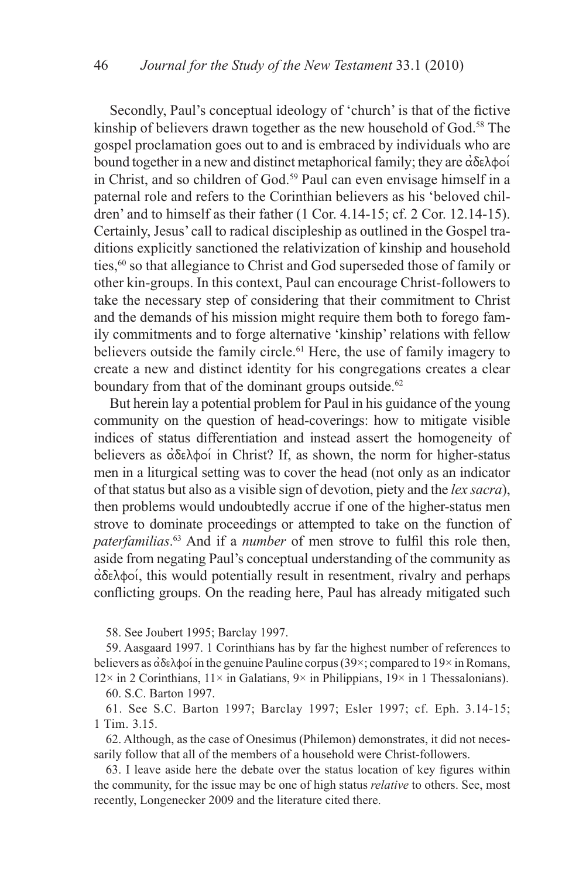Secondly, Paul's conceptual ideology of 'church' is that of the fictive kinship of believers drawn together as the new household of God.<sup>58</sup> The gospel proclamation goes out to and is embraced by individuals who are bound together in a new and distinct metaphorical family; they are  $\alpha\delta\epsilon\lambda\phi$ in Christ, and so children of God.<sup>59</sup> Paul can even envisage himself in a paternal role and refers to the Corinthian believers as his 'beloved children' and to himself as their father (1 Cor. 4.14-15; cf. 2 Cor. 12.14-15). Certainly, Jesus' call to radical discipleship as outlined in the Gospel traditions explicitly sanctioned the relativization of kinship and household ties,<sup>60</sup> so that allegiance to Christ and God superseded those of family or other kin-groups. In this context, Paul can encourage Christ-followers to take the necessary step of considering that their commitment to Christ and the demands of his mission might require them both to forego family commitments and to forge alternative 'kinship' relations with fellow believers outside the family circle.<sup>61</sup> Here, the use of family imagery to create a new and distinct identity for his congregations creates a clear boundary from that of the dominant groups outside.<sup>62</sup>

But herein lay a potential problem for Paul in his guidance of the young community on the question of head-coverings: how to mitigate visible indices of status differentiation and instead assert the homogeneity of believers as  $\alpha\delta\epsilon\lambda\phi$  in Christ? If, as shown, the norm for higher-status men in a liturgical setting was to cover the head (not only as an indicator of that status but also as a visible sign of devotion, piety and the *lex sacra*), then problems would undoubtedly accrue if one of the higher-status men strove to dominate proceedings or attempted to take on the function of *paterfamilias*. 63 And if a *number* of men strove to fulfil this role then, aside from negating Paul's conceptual understanding of the community as  $\dot{\alpha}\delta$  $\epsilon\lambda\phi$ oi, this would potentially result in resentment, rivalry and perhaps conflicting groups. On the reading here, Paul has already mitigated such

58. See Joubert 1995; Barclay 1997.

59. Aasgaard 1997. 1 Corinthians has by far the highest number of references to believers as  $\dot{\alpha}$ δελφοί in the genuine Pauline corpus (39×; compared to 19× in Romans,  $12\times$  in 2 Corinthians,  $11\times$  in Galatians,  $9\times$  in Philippians,  $19\times$  in 1 Thessalonians). 60. S.C. Barton 1997.

61. See S.C. Barton 1997; Barclay 1997; Esler 1997; cf. Eph. 3.14-15; 1 Tim. 3.15.

62. Although, as the case of Onesimus (Philemon) demonstrates, it did not necessarily follow that all of the members of a household were Christ-followers.

63. I leave aside here the debate over the status location of key figures within the community, for the issue may be one of high status *relative* to others. See, most recently, Longenecker 2009 and the literature cited there.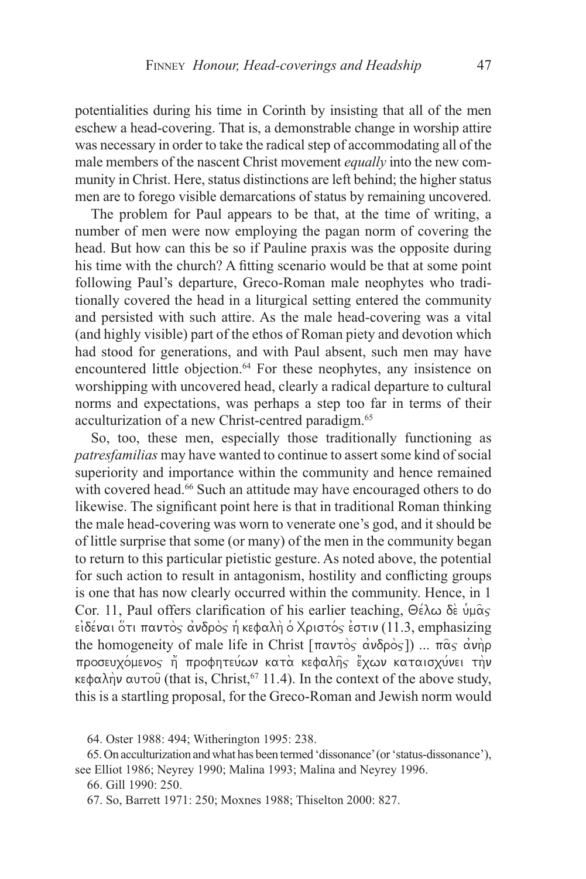potentialities during his time in Corinth by insisting that all of the men eschew a head-covering. That is, a demonstrable change in worship attire was necessary in order to take the radical step of accommodating all of the male members of the nascent Christ movement *equally* into the new community in Christ. Here, status distinctions are left behind; the higher status men are to forego visible demarcations of status by remaining uncovered.

The problem for Paul appears to be that, at the time of writing, a number of men were now employing the pagan norm of covering the head. But how can this be so if Pauline praxis was the opposite during his time with the church? A fitting scenario would be that at some point following Paul's departure, Greco-Roman male neophytes who traditionally covered the head in a liturgical setting entered the community and persisted with such attire. As the male head-covering was a vital (and highly visible) part of the ethos of Roman piety and devotion which had stood for generations, and with Paul absent, such men may have encountered little objection.64 For these neophytes, any insistence on worshipping with uncovered head, clearly a radical departure to cultural norms and expectations, was perhaps a step too far in terms of their acculturization of a new Christ-centred paradigm.<sup>65</sup>

So, too, these men, especially those traditionally functioning as *patresfamilias* may have wanted to continue to assert some kind of social superiority and importance within the community and hence remained with covered head.<sup>66</sup> Such an attitude may have encouraged others to do likewise. The significant point here is that in traditional Roman thinking the male head-covering was worn to venerate one's god, and it should be of little surprise that some (or many) of the men in the community began to return to this particular pietistic gesture. As noted above, the potential for such action to result in antagonism, hostility and conflicting groups is one that has now clearly occurred within the community. Hence, in 1 Cor. 11, Paul offers clarification of his earlier teaching,  $\Theta \hat{\epsilon} \lambda \omega \delta \hat{\epsilon} \psi \mu \hat{\alpha} \varsigma$  $\epsilon$ ιδέναι ότι παντός ανδρός ή κεφαλή ο Χριστός εστιν (11.3, emphasizing the homogeneity of male life in Christ  $[\pi \alpha v \tau \dot{\alpha} \dot{\alpha} \dot{\alpha} \dot{\alpha} \dot{\alpha} \dot{\alpha} \dot{\beta} \dot{\alpha} \dot{\alpha}]$ ) ...  $\pi \dot{\alpha} \dot{\beta} \dot{\alpha} \dot{\alpha} \dot{\beta} \dot{\beta}$ προσευχόμενος ή προφητεύων κατα κεφαλής έχων καταισχύνει την κεφαλήν αυτού (that is, Christ,<sup>67</sup> 11.4). In the context of the above study, this is a startling proposal, for the Greco-Roman and Jewish norm would

64. Oster 1988: 494; Witherington 1995: 238.

65. On acculturization and what has been termed 'dissonance' (or 'status-dissonance'), see Elliot 1986; Neyrey 1990; Malina 1993; Malina and Neyrey 1996.

66. Gill 1990: 250.

67. So, Barrett 1971: 250; Moxnes 1988; Thiselton 2000: 827.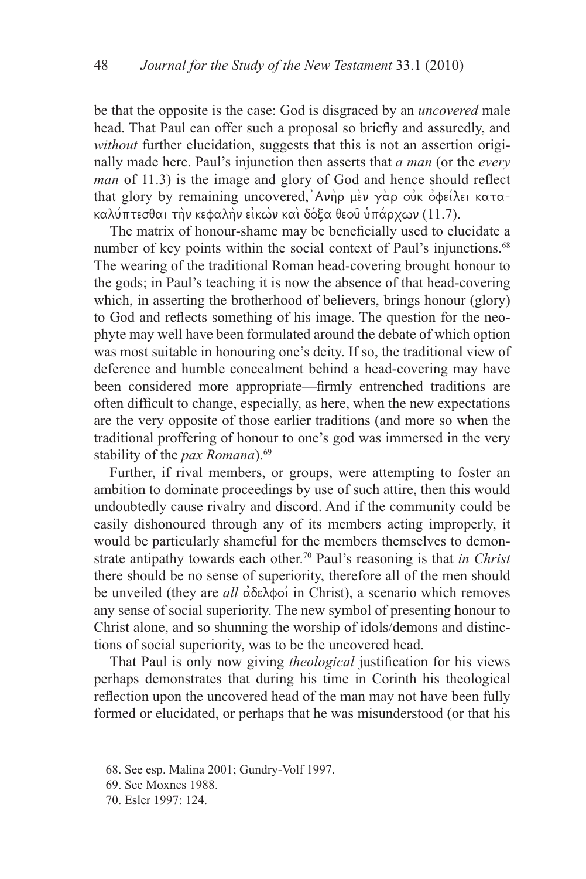be that the opposite is the case: God is disgraced by an *uncovered* male head. That Paul can offer such a proposal so briefly and assuredly, and *without* further elucidation, suggests that this is not an assertion originally made here. Paul's injunction then asserts that *a man* (or the *every man* of 11.3) is the image and glory of God and hence should reflect that glory by remaining uncovered, Ανήρ μεν γάρ ουκ οφείλει κατακαλύπτεσθαι την κεφαλην είκων και δόξα θεου υπάρχων (11.7).

The matrix of honour-shame may be beneficially used to elucidate a number of key points within the social context of Paul's injunctions.<sup>68</sup> The wearing of the traditional Roman head-covering brought honour to the gods; in Paul's teaching it is now the absence of that head-covering which, in asserting the brotherhood of believers, brings honour (glory) to God and reflects something of his image. The question for the neophyte may well have been formulated around the debate of which option was most suitable in honouring one's deity. If so, the traditional view of deference and humble concealment behind a head-covering may have been considered more appropriate—firmly entrenched traditions are often difficult to change, especially, as here, when the new expectations are the very opposite of those earlier traditions (and more so when the traditional proffering of honour to one's god was immersed in the very stability of the *pax Romana*).<sup>69</sup>

Further, if rival members, or groups, were attempting to foster an ambition to dominate proceedings by use of such attire, then this would undoubtedly cause rivalry and discord. And if the community could be easily dishonoured through any of its members acting improperly, it would be particularly shameful for the members themselves to demonstrate antipathy towards each other.70 Paul's reasoning is that *in Christ* there should be no sense of superiority, therefore all of the men should be unveiled (they are *all* αδελφοί in Christ), a scenario which removes any sense of social superiority. The new symbol of presenting honour to Christ alone, and so shunning the worship of idols/demons and distinctions of social superiority, was to be the uncovered head.

That Paul is only now giving *theological* justification for his views perhaps demonstrates that during his time in Corinth his theological reflection upon the uncovered head of the man may not have been fully formed or elucidated, or perhaps that he was misunderstood (or that his

<sup>68.</sup> See esp. Malina 2001; Gundry-Volf 1997.

<sup>69.</sup> See Moxnes 1988.

<sup>70.</sup> Esler 1997: 124.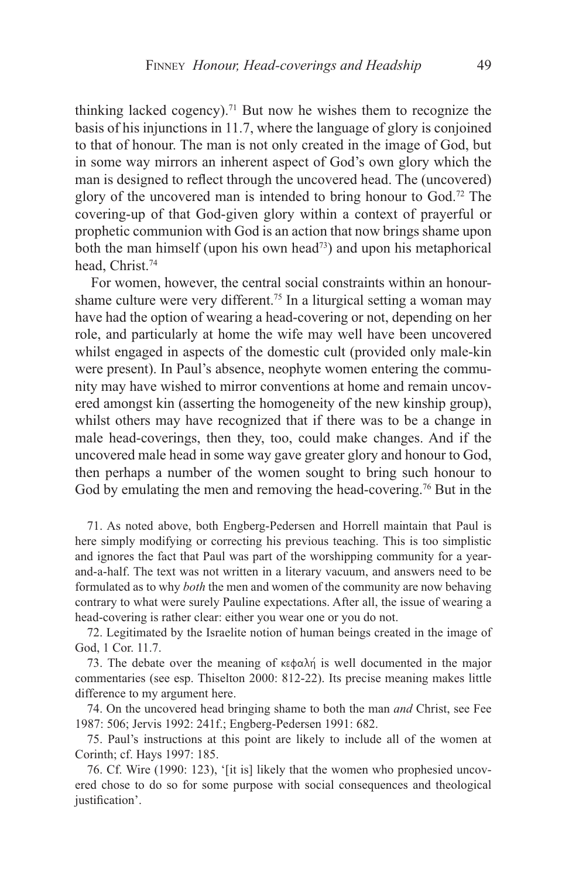thinking lacked cogency).<sup>71</sup> But now he wishes them to recognize the basis of his injunctions in 11.7, where the language of glory is conjoined to that of honour. The man is not only created in the image of God, but in some way mirrors an inherent aspect of God's own glory which the man is designed to reflect through the uncovered head. The (uncovered) glory of the uncovered man is intended to bring honour to God.72 The covering-up of that God-given glory within a context of prayerful or prophetic communion with God is an action that now brings shame upon both the man himself (upon his own head<sup>73</sup>) and upon his metaphorical head, Christ.74

For women, however, the central social constraints within an honourshame culture were very different.75 In a liturgical setting a woman may have had the option of wearing a head-covering or not, depending on her role, and particularly at home the wife may well have been uncovered whilst engaged in aspects of the domestic cult (provided only male-kin were present). In Paul's absence, neophyte women entering the community may have wished to mirror conventions at home and remain uncovered amongst kin (asserting the homogeneity of the new kinship group), whilst others may have recognized that if there was to be a change in male head-coverings, then they, too, could make changes. And if the uncovered male head in some way gave greater glory and honour to God, then perhaps a number of the women sought to bring such honour to God by emulating the men and removing the head-covering.<sup>76</sup> But in the

71. As noted above, both Engberg-Pedersen and Horrell maintain that Paul is here simply modifying or correcting his previous teaching. This is too simplistic and ignores the fact that Paul was part of the worshipping community for a yearand-a-half. The text was not written in a literary vacuum, and answers need to be formulated as to why *both* the men and women of the community are now behaving contrary to what were surely Pauline expectations. After all, the issue of wearing a head-covering is rather clear: either you wear one or you do not.

72. Legitimated by the Israelite notion of human beings created in the image of God, 1 Cor. 11.7.

73. The debate over the meaning of  $\kappa \in \Delta \setminus \mathbb{R}$  is well documented in the major commentaries (see esp. Thiselton 2000: 812-22). Its precise meaning makes little difference to my argument here.

74. On the uncovered head bringing shame to both the man *and* Christ, see Fee 1987: 506; Jervis 1992: 241f.; Engberg-Pedersen 1991: 682.

75. Paul's instructions at this point are likely to include all of the women at Corinth; cf. Hays 1997: 185.

76. Cf. Wire (1990: 123), '[it is] likely that the women who prophesied uncovered chose to do so for some purpose with social consequences and theological justification'.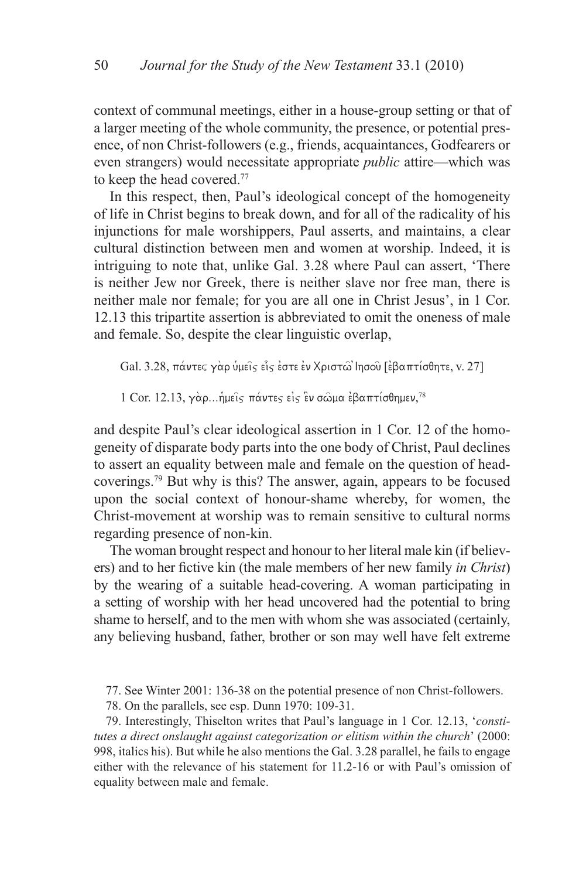context of communal meetings, either in a house-group setting or that of a larger meeting of the whole community, the presence, or potential presence, of non Christ-followers (e.g., friends, acquaintances, Godfearers or even strangers) would necessitate appropriate *public* attire—which was to keep the head covered.77

In this respect, then, Paul's ideological concept of the homogeneity of life in Christ begins to break down, and for all of the radicality of his injunctions for male worshippers, Paul asserts, and maintains, a clear cultural distinction between men and women at worship. Indeed, it is intriguing to note that, unlike Gal. 3.28 where Paul can assert, 'There is neither Jew nor Greek, there is neither slave nor free man, there is neither male nor female; for you are all one in Christ Jesus', in 1 Cor. 12.13 this tripartite assertion is abbreviated to omit the oneness of male and female. So, despite the clear linguistic overlap,

 $Gal. 3.28$ , πάντες γαρ υμείς είς έστε έν Χριστώ Ιησου [εβαπτίσθητε, v. 27]

 $1$  Cor. 12.13, γὰρ...ἡμεῖ $\varsigma$  πάντε $\varsigma$  εἰ $\varsigma$  ἓν σῶμα ἐβαπτίσθημεν, $^{78}$ 

and despite Paul's clear ideological assertion in 1 Cor. 12 of the homogeneity of disparate body parts into the one body of Christ, Paul declines to assert an equality between male and female on the question of headcoverings.79 But why is this? The answer, again, appears to be focused upon the social context of honour-shame whereby, for women, the Christ-movement at worship was to remain sensitive to cultural norms regarding presence of non-kin.

The woman brought respect and honour to her literal male kin (if believers) and to her fictive kin (the male members of her new family *in Christ*) by the wearing of a suitable head-covering. A woman participating in a setting of worship with her head uncovered had the potential to bring shame to herself, and to the men with whom she was associated (certainly, any believing husband, father, brother or son may well have felt extreme

77. See Winter 2001: 136-38 on the potential presence of non Christ-followers.

78. On the parallels, see esp. Dunn 1970: 109-31.

79. Interestingly, Thiselton writes that Paul's language in 1 Cor. 12.13, '*constitutes a direct onslaught against categorization or elitism within the church*' (2000: 998, italics his). But while he also mentions the Gal. 3.28 parallel, he fails to engage either with the relevance of his statement for 11.2-16 or with Paul's omission of equality between male and female.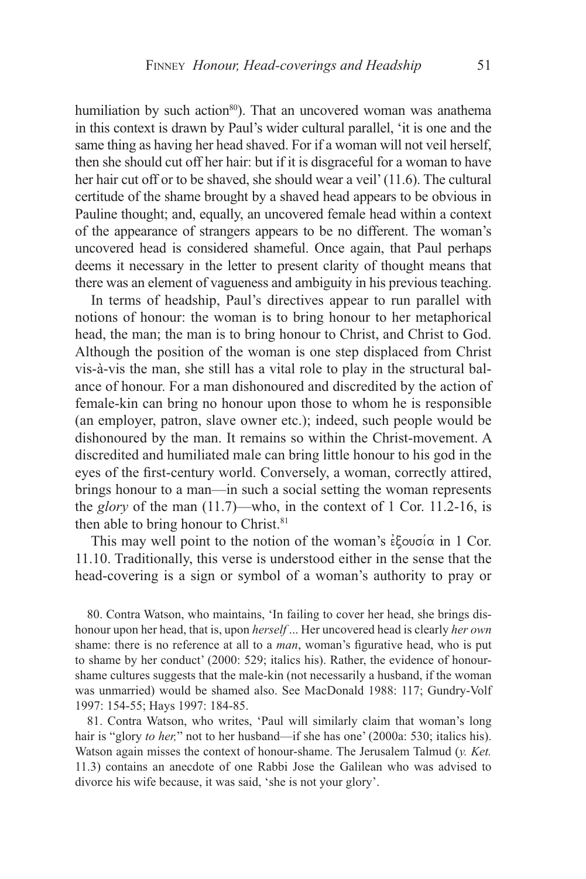humiliation by such action<sup>80</sup>). That an uncovered woman was anathema in this context is drawn by Paul's wider cultural parallel, 'it is one and the same thing as having her head shaved. For if a woman will not veil herself, then she should cut off her hair: but if it is disgraceful for a woman to have her hair cut off or to be shaved, she should wear a veil' (11.6). The cultural certitude of the shame brought by a shaved head appears to be obvious in Pauline thought; and, equally, an uncovered female head within a context of the appearance of strangers appears to be no different. The woman's uncovered head is considered shameful. Once again, that Paul perhaps deems it necessary in the letter to present clarity of thought means that there was an element of vagueness and ambiguity in his previous teaching.

In terms of headship, Paul's directives appear to run parallel with notions of honour: the woman is to bring honour to her metaphorical head, the man; the man is to bring honour to Christ, and Christ to God. Although the position of the woman is one step displaced from Christ vis-à-vis the man, she still has a vital role to play in the structural balance of honour. For a man dishonoured and discredited by the action of female-kin can bring no honour upon those to whom he is responsible (an employer, patron, slave owner etc.); indeed, such people would be dishonoured by the man. It remains so within the Christ-movement. A discredited and humiliated male can bring little honour to his god in the eyes of the first-century world. Conversely, a woman, correctly attired, brings honour to a man—in such a social setting the woman represents the *glory* of the man (11.7)—who, in the context of 1 Cor. 11.2-16, is then able to bring honour to Christ.<sup>81</sup>

This may well point to the notion of the woman's  $\epsilon \xi$ ou $\sigma \alpha$  in 1 Cor. 11.10. Traditionally, this verse is understood either in the sense that the head-covering is a sign or symbol of a woman's authority to pray or

80. Contra Watson, who maintains, 'In failing to cover her head, she brings dishonour upon her head, that is, upon *herself* ... Her uncovered head is clearly *her own* shame: there is no reference at all to a *man*, woman's figurative head, who is put to shame by her conduct' (2000: 529; italics his). Rather, the evidence of honourshame cultures suggests that the male-kin (not necessarily a husband, if the woman was unmarried) would be shamed also. See MacDonald 1988: 117; Gundry-Volf 1997: 154-55; Hays 1997: 184-85.

81. Contra Watson, who writes, 'Paul will similarly claim that woman's long hair is "glory *to her*," not to her husband—if she has one' (2000a: 530; italics his). Watson again misses the context of honour-shame. The Jerusalem Talmud (*y. Ket.* 11.3) contains an anecdote of one Rabbi Jose the Galilean who was advised to divorce his wife because, it was said, 'she is not your glory'.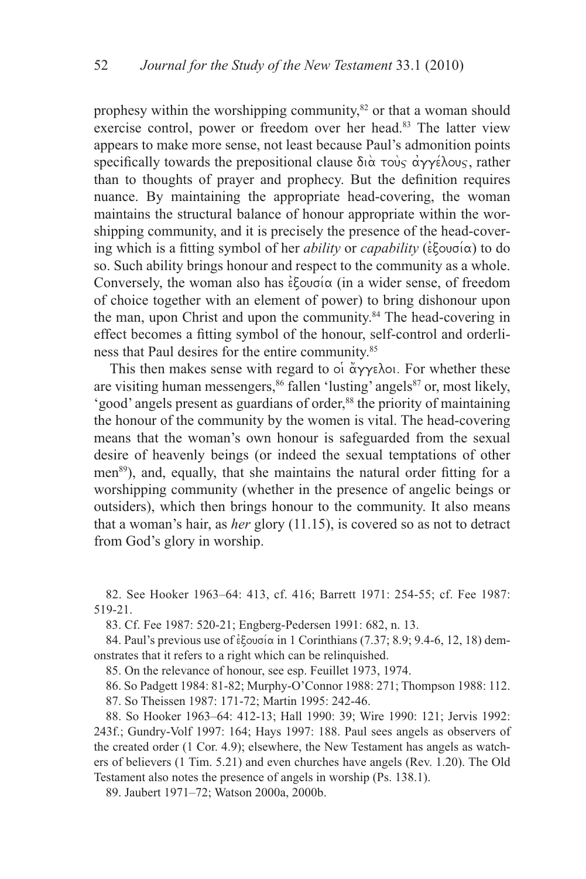prophesy within the worshipping community, ${}^{82}$  or that a woman should exercise control, power or freedom over her head.<sup>83</sup> The latter view appears to make more sense, not least because Paul's admonition points specifically towards the prepositional clause  $\delta \alpha \overrightarrow{\alpha}$  to  $\alpha \gamma \gamma \epsilon \lambda_{0}$ , rather than to thoughts of prayer and prophecy. But the definition requires nuance. By maintaining the appropriate head-covering, the woman maintains the structural balance of honour appropriate within the worshipping community, and it is precisely the presence of the head-covering which is a fitting symbol of her *ability* or *capability* ( $\epsilon \xi$ ou $\sigma$ ( $\alpha$ ) to do so. Such ability brings honour and respect to the community as a whole. Conversely, the woman also has  $\epsilon \xi$ ou $\sigma \alpha$  (in a wider sense, of freedom of choice together with an element of power) to bring dishonour upon the man, upon Christ and upon the community.84 The head-covering in effect becomes a fitting symbol of the honour, self-control and orderliness that Paul desires for the entire community.85

This then makes sense with regard to  $\phi$  a  $\gamma$   $\gamma$  and  $\gamma$ . For whether these are visiting human messengers,<sup>86</sup> fallen 'lusting' angels<sup>87</sup> or, most likely, 'good' angels present as guardians of order,<sup>88</sup> the priority of maintaining the honour of the community by the women is vital. The head-covering means that the woman's own honour is safeguarded from the sexual desire of heavenly beings (or indeed the sexual temptations of other men<sup>89</sup>), and, equally, that she maintains the natural order fitting for a worshipping community (whether in the presence of angelic beings or outsiders), which then brings honour to the community. It also means that a woman's hair, as *her* glory (11.15), is covered so as not to detract from God's glory in worship.

82. See Hooker 1963–64: 413, cf. 416; Barrett 1971: 254-55; cf. Fee 1987: 519-21.

83. Cf. Fee 1987: 520-21; Engberg-Pedersen 1991: 682, n. 13.

84. Paul's previous use of  $\epsilon$  covo $\alpha$  in 1 Corinthians (7.37; 8.9; 9.4-6, 12, 18) demonstrates that it refers to a right which can be relinquished.

85. On the relevance of honour, see esp. Feuillet 1973, 1974.

86. So Padgett 1984: 81-82; Murphy-O'Connor 1988: 271; Thompson 1988: 112.

87. So Theissen 1987: 171-72; Martin 1995: 242-46.

88. So Hooker 1963–64: 412-13; Hall 1990: 39; Wire 1990: 121; Jervis 1992: 243f.; Gundry-Volf 1997: 164; Hays 1997: 188. Paul sees angels as observers of the created order (1 Cor. 4.9); elsewhere, the New Testament has angels as watchers of believers (1 Tim. 5.21) and even churches have angels (Rev. 1.20). The Old Testament also notes the presence of angels in worship (Ps. 138.1).

89. Jaubert 1971–72; Watson 2000a, 2000b.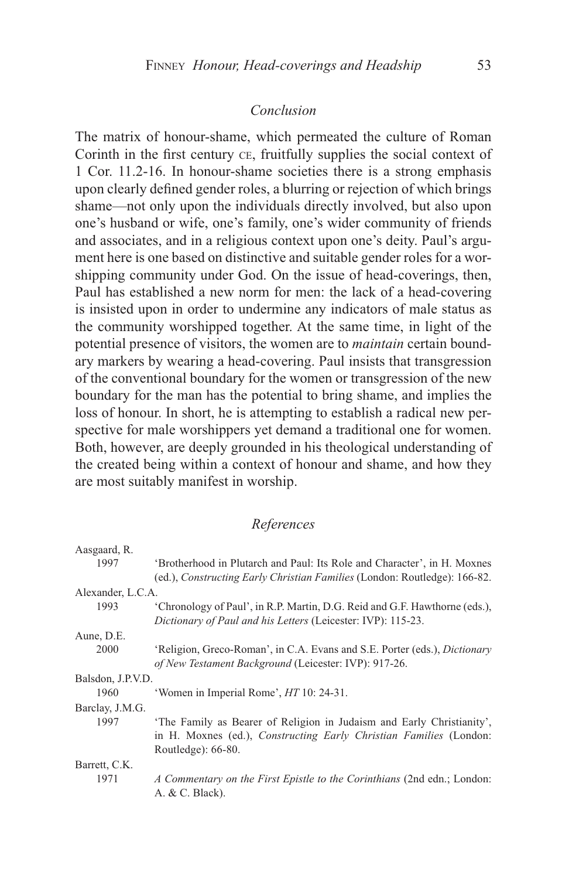### *Conclusion*

The matrix of honour-shame, which permeated the culture of Roman Corinth in the first century ce, fruitfully supplies the social context of 1 Cor. 11.2-16. In honour-shame societies there is a strong emphasis upon clearly defined gender roles, a blurring or rejection of which brings shame—not only upon the individuals directly involved, but also upon one's husband or wife, one's family, one's wider community of friends and associates, and in a religious context upon one's deity. Paul's argument here is one based on distinctive and suitable gender roles for a worshipping community under God. On the issue of head-coverings, then, Paul has established a new norm for men: the lack of a head-covering is insisted upon in order to undermine any indicators of male status as the community worshipped together. At the same time, in light of the potential presence of visitors, the women are to *maintain* certain boundary markers by wearing a head-covering. Paul insists that transgression of the conventional boundary for the women or transgression of the new boundary for the man has the potential to bring shame, and implies the loss of honour. In short, he is attempting to establish a radical new perspective for male worshippers yet demand a traditional one for women. Both, however, are deeply grounded in his theological understanding of the created being within a context of honour and shame, and how they are most suitably manifest in worship.

#### *References*

| Aasgaard, R.      |                                                                                  |
|-------------------|----------------------------------------------------------------------------------|
| 1997              | 'Brotherhood in Plutarch and Paul: Its Role and Character', in H. Moxnes         |
|                   | (ed.), Constructing Early Christian Families (London: Routledge): 166-82.        |
| Alexander, L.C.A. |                                                                                  |
| 1993              | 'Chronology of Paul', in R.P. Martin, D.G. Reid and G.F. Hawthorne (eds.),       |
|                   | Dictionary of Paul and his Letters (Leicester: IVP): 115-23.                     |
| Aune, D.E.        |                                                                                  |
| 2000              | 'Religion, Greco-Roman', in C.A. Evans and S.E. Porter (eds.), <i>Dictionary</i> |
|                   | of New Testament Background (Leicester: IVP): 917-26.                            |
| Balsdon, J.P.V.D. |                                                                                  |
| 1960              | 'Women in Imperial Rome', <i>HT</i> 10: 24-31.                                   |
| Barclay, J.M.G.   |                                                                                  |
| 1997              | 'The Family as Bearer of Religion in Judaism and Early Christianity',            |
|                   | in H. Moxnes (ed.), Constructing Early Christian Families (London:               |
|                   | Routledge: $66-80$ .                                                             |
| Barrett, C.K.     |                                                                                  |
| 1971              | A Commentary on the First Epistle to the Corinthians (2nd edn.; London:          |
|                   | A. & C. Black).                                                                  |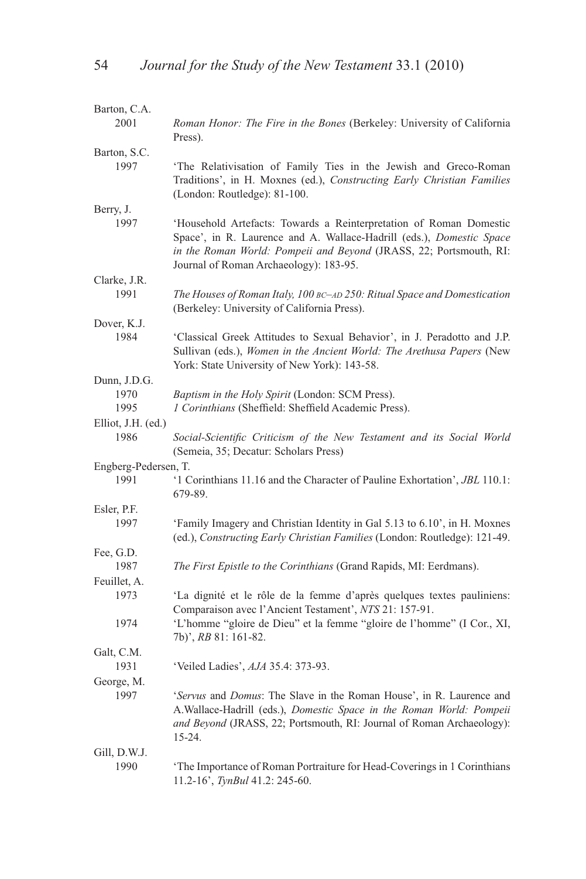| Barton, C.A.         |                                                                                                                                                                                                                                                                   |
|----------------------|-------------------------------------------------------------------------------------------------------------------------------------------------------------------------------------------------------------------------------------------------------------------|
| 2001                 | <i>Roman Honor: The Fire in the Bones</i> (Berkeley: University of California<br>Press).                                                                                                                                                                          |
| Barton, S.C.         |                                                                                                                                                                                                                                                                   |
| 1997                 | 'The Relativisation of Family Ties in the Jewish and Greco-Roman<br>Traditions', in H. Moxnes (ed.), Constructing Early Christian Families<br>(London: Routledge): 81-100.                                                                                        |
| Berry, J.            |                                                                                                                                                                                                                                                                   |
| 1997                 | 'Household Artefacts: Towards a Reinterpretation of Roman Domestic<br>Space', in R. Laurence and A. Wallace-Hadrill (eds.), <i>Domestic Space</i><br>in the Roman World: Pompeii and Beyond (JRASS, 22; Portsmouth, RI:<br>Journal of Roman Archaeology): 183-95. |
| Clarke, J.R.         |                                                                                                                                                                                                                                                                   |
| 1991                 | The Houses of Roman Italy, 100 BC-AD 250: Ritual Space and Domestication<br>(Berkeley: University of California Press).                                                                                                                                           |
| Dover, K.J.          |                                                                                                                                                                                                                                                                   |
| 1984                 | 'Classical Greek Attitudes to Sexual Behavior', in J. Peradotto and J.P.<br>Sullivan (eds.), Women in the Ancient World: The Arethusa Papers (New<br>York: State University of New York): 143-58.                                                                 |
| Dunn, J.D.G.         |                                                                                                                                                                                                                                                                   |
| 1970                 | Baptism in the Holy Spirit (London: SCM Press).                                                                                                                                                                                                                   |
| 1995                 | 1 Corinthians (Sheffield: Sheffield Academic Press).                                                                                                                                                                                                              |
| Elliot, J.H. (ed.)   |                                                                                                                                                                                                                                                                   |
| 1986                 | Social-Scientific Criticism of the New Testament and its Social World<br>(Semeia, 35; Decatur: Scholars Press)                                                                                                                                                    |
| Engberg-Pedersen, T. |                                                                                                                                                                                                                                                                   |
| 1991                 | '1 Corinthians 11.16 and the Character of Pauline Exhortation', JBL 110.1:<br>679-89.                                                                                                                                                                             |
| Esler, P.F.          |                                                                                                                                                                                                                                                                   |
| 1997                 | 'Family Imagery and Christian Identity in Gal 5.13 to 6.10', in H. Moxnes<br>(ed.), Constructing Early Christian Families (London: Routledge): 121-49.                                                                                                            |
| Fee, G.D.            |                                                                                                                                                                                                                                                                   |
| 1987                 | The First Epistle to the Corinthians (Grand Rapids, MI: Eerdmans).                                                                                                                                                                                                |
| Feuillet, A.         |                                                                                                                                                                                                                                                                   |
| 1973                 | 'La dignité et le rôle de la femme d'après quelques textes pauliniens:<br>Comparaison avec l'Ancient Testament', NTS 21: 157-91.                                                                                                                                  |
| 1974                 | 'L'homme "gloire de Dieu" et la femme "gloire de l'homme" (I Cor., XI,<br>7b)', RB 81: 161-82.                                                                                                                                                                    |
| Galt, C.M.           |                                                                                                                                                                                                                                                                   |
| 1931                 | 'Veiled Ladies', AJA 35.4: 373-93.                                                                                                                                                                                                                                |
| George, M.           |                                                                                                                                                                                                                                                                   |
| 1997                 | 'Servus and Domus: The Slave in the Roman House', in R. Laurence and<br>A. Wallace-Hadrill (eds.), Domestic Space in the Roman World: Pompeii<br>and Beyond (JRASS, 22; Portsmouth, RI: Journal of Roman Archaeology):<br>$15 - 24$ .                             |
| Gill, D.W.J.         |                                                                                                                                                                                                                                                                   |
| 1990                 | The Importance of Roman Portraiture for Head-Coverings in 1 Corinthians<br>11.2-16', TynBul 41.2: 245-60.                                                                                                                                                         |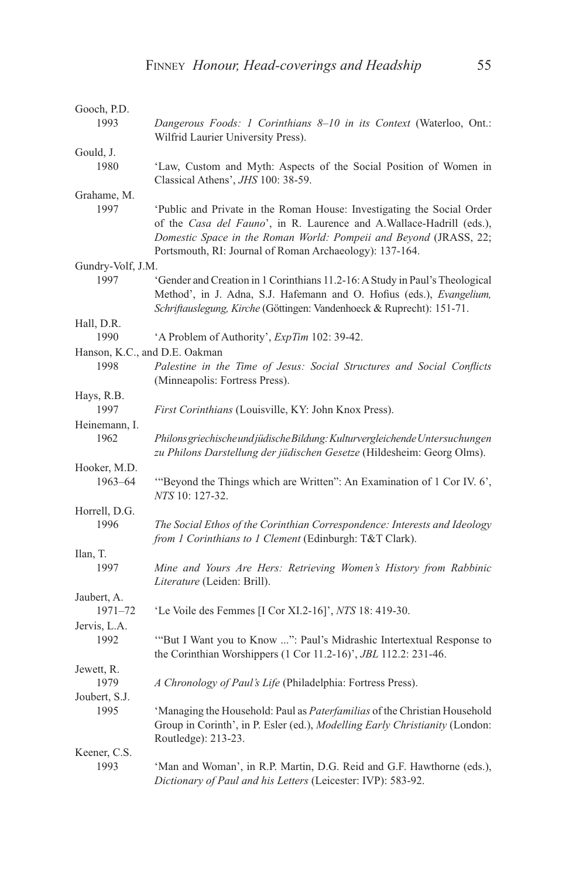| Gooch, P.D.                   |                                                                                                                                                                                                                                                                                 |
|-------------------------------|---------------------------------------------------------------------------------------------------------------------------------------------------------------------------------------------------------------------------------------------------------------------------------|
| 1993                          | Dangerous Foods: 1 Corinthians 8-10 in its Context (Waterloo, Ont.:<br>Wilfrid Laurier University Press).                                                                                                                                                                       |
| Gould, J.                     |                                                                                                                                                                                                                                                                                 |
| 1980                          | 'Law, Custom and Myth: Aspects of the Social Position of Women in<br>Classical Athens', JHS 100: 38-59.                                                                                                                                                                         |
| Grahame, M.                   |                                                                                                                                                                                                                                                                                 |
| 1997                          | 'Public and Private in the Roman House: Investigating the Social Order<br>of the Casa del Fauno', in R. Laurence and A. Wallace-Hadrill (eds.),<br>Domestic Space in the Roman World: Pompeii and Beyond (JRASS, 22;<br>Portsmouth, RI: Journal of Roman Archaeology): 137-164. |
| Gundry-Volf, J.M.             |                                                                                                                                                                                                                                                                                 |
| 1997                          | 'Gender and Creation in 1 Corinthians 11.2-16: A Study in Paul's Theological<br>Method', in J. Adna, S.J. Hafemann and O. Hofius (eds.), Evangelium,<br>Schriftauslegung, Kirche (Göttingen: Vandenhoeck & Ruprecht): 151-71.                                                   |
| Hall, D.R.                    |                                                                                                                                                                                                                                                                                 |
| 1990                          | 'A Problem of Authority', ExpTim 102: 39-42.                                                                                                                                                                                                                                    |
| Hanson, K.C., and D.E. Oakman |                                                                                                                                                                                                                                                                                 |
| 1998                          | Palestine in the Time of Jesus: Social Structures and Social Conflicts<br>(Minneapolis: Fortress Press).                                                                                                                                                                        |
| Hays, R.B.                    |                                                                                                                                                                                                                                                                                 |
| 1997                          | <i>First Corinthians</i> (Louisville, KY: John Knox Press).                                                                                                                                                                                                                     |
| Heinemann, I.                 |                                                                                                                                                                                                                                                                                 |
| 1962                          | Philons griechische und jüdische Bildung: Kulturvergleichende Untersuchungen<br>zu Philons Darstellung der jüdischen Gesetze (Hildesheim: Georg Olms).                                                                                                                          |
| Hooker, M.D.                  |                                                                                                                                                                                                                                                                                 |
| $1963 - 64$                   | "Beyond the Things which are Written": An Examination of 1 Cor IV. 6',<br>NTS 10: 127-32.                                                                                                                                                                                       |
| Horrell, D.G.                 |                                                                                                                                                                                                                                                                                 |
| 1996                          | The Social Ethos of the Corinthian Correspondence: Interests and Ideology<br>from 1 Corinthians to 1 Clement (Edinburgh: T&T Clark).                                                                                                                                            |
| Ilan, T.                      |                                                                                                                                                                                                                                                                                 |
| 1997                          | Mine and Yours Are Hers: Retrieving Women's History from Rabbinic<br>Literature (Leiden: Brill).                                                                                                                                                                                |
| Jaubert, A.                   |                                                                                                                                                                                                                                                                                 |
| $1971 - 72$                   | 'Le Voile des Femmes [I Cor XI.2-16]', NTS 18: 419-30.                                                                                                                                                                                                                          |
| Jervis, L.A.                  |                                                                                                                                                                                                                                                                                 |
| 1992                          | "But I Want you to Know ": Paul's Midrashic Intertextual Response to<br>the Corinthian Worshippers (1 Cor 11.2-16)', <i>JBL</i> 112.2: 231-46.                                                                                                                                  |
| Jewett, R.                    |                                                                                                                                                                                                                                                                                 |
| 1979<br>Joubert, S.J.         | A Chronology of Paul's Life (Philadelphia: Fortress Press).                                                                                                                                                                                                                     |
| 1995                          | 'Managing the Household: Paul as <i>Paterfamilias</i> of the Christian Household<br>Group in Corinth', in P. Esler (ed.), Modelling Early Christianity (London:<br>Routledge): 213-23.                                                                                          |
| Keener, C.S.                  |                                                                                                                                                                                                                                                                                 |
| 1993                          | 'Man and Woman', in R.P. Martin, D.G. Reid and G.F. Hawthorne (eds.),<br>Dictionary of Paul and his Letters (Leicester: IVP): 583-92.                                                                                                                                           |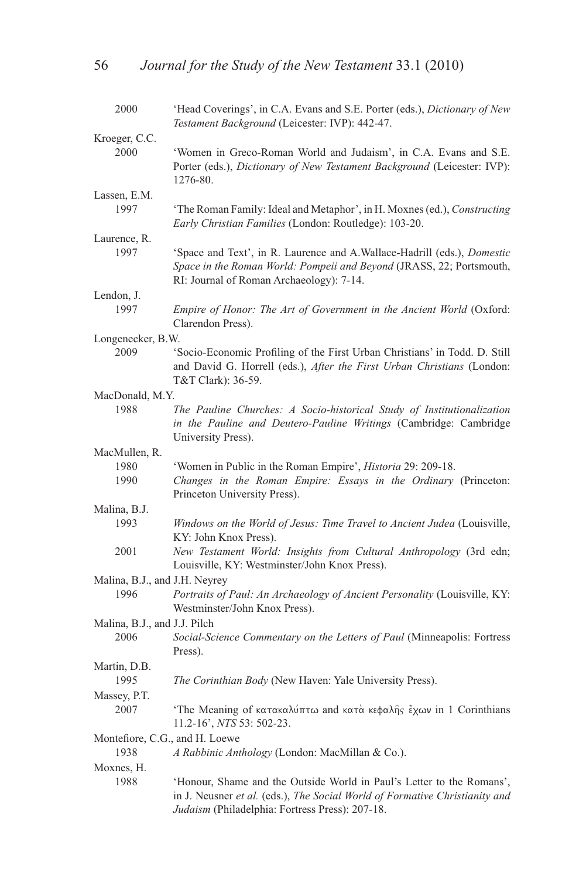| 2000                           | 'Head Coverings', in C.A. Evans and S.E. Porter (eds.), Dictionary of New<br>Testament Background (Leicester: IVP): 442-47.                                                                             |
|--------------------------------|---------------------------------------------------------------------------------------------------------------------------------------------------------------------------------------------------------|
| Kroeger, C.C.                  |                                                                                                                                                                                                         |
| 2000                           | 'Women in Greco-Roman World and Judaism', in C.A. Evans and S.E.<br>Porter (eds.), Dictionary of New Testament Background (Leicester: IVP):                                                             |
|                                | 1276-80.                                                                                                                                                                                                |
| Lassen, E.M.                   |                                                                                                                                                                                                         |
| 1997                           | 'The Roman Family: Ideal and Metaphor', in H. Moxnes (ed.), Constructing<br>Early Christian Families (London: Routledge): 103-20.                                                                       |
| Laurence, R.                   |                                                                                                                                                                                                         |
| 1997                           | 'Space and Text', in R. Laurence and A. Wallace-Hadrill (eds.), <i>Domestic</i><br>Space in the Roman World: Pompeii and Beyond (JRASS, 22; Portsmouth,<br>RI: Journal of Roman Archaeology): 7-14.     |
| Lendon, J.                     |                                                                                                                                                                                                         |
| 1997                           | Empire of Honor: The Art of Government in the Ancient World (Oxford:<br>Clarendon Press).                                                                                                               |
| Longenecker, B.W.              |                                                                                                                                                                                                         |
| 2009                           | 'Socio-Economic Profiling of the First Urban Christians' in Todd. D. Still<br>and David G. Horrell (eds.), After the First Urban Christians (London:<br>T&T Clark): 36-59.                              |
| MacDonald, M.Y.                |                                                                                                                                                                                                         |
| 1988                           | The Pauline Churches: A Socio-historical Study of Institutionalization                                                                                                                                  |
|                                | in the Pauline and Deutero-Pauline Writings (Cambridge: Cambridge<br>University Press).                                                                                                                 |
| MacMullen, R.                  |                                                                                                                                                                                                         |
| 1980                           | 'Women in Public in the Roman Empire', <i>Historia</i> 29: 209-18.                                                                                                                                      |
| 1990                           | Changes in the Roman Empire: Essays in the Ordinary (Princeton:<br>Princeton University Press).                                                                                                         |
| Malina, B.J.                   |                                                                                                                                                                                                         |
| 1993                           | Windows on the World of Jesus: Time Travel to Ancient Judea (Louisville,<br>KY: John Knox Press).                                                                                                       |
| 2001                           | New Testament World: Insights from Cultural Anthropology (3rd edn;<br>Louisville, KY: Westminster/John Knox Press).                                                                                     |
| Malina, B.J., and J.H. Neyrey  |                                                                                                                                                                                                         |
| 1996                           | Portraits of Paul: An Archaeology of Ancient Personality (Louisville, KY:<br>Westminster/John Knox Press).                                                                                              |
| Malina, B.J., and J.J. Pilch   |                                                                                                                                                                                                         |
| 2006                           | Social-Science Commentary on the Letters of Paul (Minneapolis: Fortress<br>Press).                                                                                                                      |
| Martin, D.B.                   |                                                                                                                                                                                                         |
| 1995                           | The Corinthian Body (New Haven: Yale University Press).                                                                                                                                                 |
| Massey, P.T.                   |                                                                                                                                                                                                         |
| 2007                           | 'The Meaning of κατακαλύπτω and κατά κεφαλής έχων in 1 Corinthians<br>11.2-16', NTS 53: 502-23.                                                                                                         |
| Montefiore, C.G., and H. Loewe |                                                                                                                                                                                                         |
| 1938                           | A Rabbinic Anthology (London: MacMillan & Co.).                                                                                                                                                         |
| Moxnes, H.                     |                                                                                                                                                                                                         |
| 1988                           | 'Honour, Shame and the Outside World in Paul's Letter to the Romans',<br>in J. Neusner et al. (eds.), The Social World of Formative Christianity and<br>Judaism (Philadelphia: Fortress Press): 207-18. |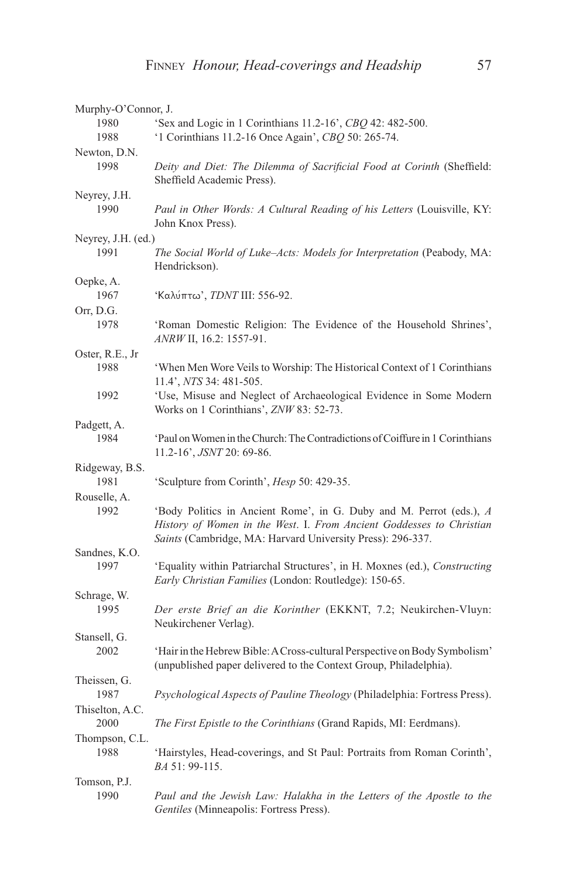| Murphy-O'Connor, J.     |                                                                                                                                                                                                           |  |
|-------------------------|-----------------------------------------------------------------------------------------------------------------------------------------------------------------------------------------------------------|--|
| 1980                    | 'Sex and Logic in 1 Corinthians 11.2-16', CBQ 42: 482-500.                                                                                                                                                |  |
| 1988                    | '1 Corinthians 11.2-16 Once Again', CBQ 50: 265-74.                                                                                                                                                       |  |
| Newton, D.N.            |                                                                                                                                                                                                           |  |
| 1998                    | Deity and Diet: The Dilemma of Sacrificial Food at Corinth (Sheffield:<br>Sheffield Academic Press).                                                                                                      |  |
| Neyrey, J.H.            |                                                                                                                                                                                                           |  |
| 1990                    | Paul in Other Words: A Cultural Reading of his Letters (Louisville, KY:<br>John Knox Press).                                                                                                              |  |
| Neyrey, J.H. (ed.)      |                                                                                                                                                                                                           |  |
| 1991                    | The Social World of Luke-Acts: Models for Interpretation (Peabody, MA:<br>Hendrickson).                                                                                                                   |  |
| Oepke, A.               |                                                                                                                                                                                                           |  |
| 1967                    | 'Καλύπτω', <i>TDNT</i> III: 556-92.                                                                                                                                                                       |  |
| Orr, D.G.               |                                                                                                                                                                                                           |  |
| 1978                    | 'Roman Domestic Religion: The Evidence of the Household Shrines',<br>ANRW II, 16.2: 1557-91.                                                                                                              |  |
| Oster, R.E., Jr         |                                                                                                                                                                                                           |  |
| 1988                    | 'When Men Wore Veils to Worship: The Historical Context of 1 Corinthians<br>11.4', NTS 34: 481-505.                                                                                                       |  |
| 1992                    | 'Use, Misuse and Neglect of Archaeological Evidence in Some Modern<br>Works on 1 Corinthians', ZNW 83: 52-73.                                                                                             |  |
| Padgett, A.             |                                                                                                                                                                                                           |  |
| 1984                    | 'Paul on Women in the Church: The Contradictions of Coiffure in 1 Corinthians<br>11.2-16', JSNT 20: 69-86.                                                                                                |  |
| Ridgeway, B.S.          |                                                                                                                                                                                                           |  |
| 1981                    | 'Sculpture from Corinth', Hesp 50: 429-35.                                                                                                                                                                |  |
| Rouselle, A.            |                                                                                                                                                                                                           |  |
| 1992                    | 'Body Politics in Ancient Rome', in G. Duby and M. Perrot (eds.), A<br>History of Women in the West. I. From Ancient Goddesses to Christian<br>Saints (Cambridge, MA: Harvard University Press): 296-337. |  |
| Sandnes, K.O.           |                                                                                                                                                                                                           |  |
| 1997                    | 'Equality within Patriarchal Structures', in H. Moxnes (ed.), Constructing<br>Early Christian Families (London: Routledge): 150-65.                                                                       |  |
| Schrage, W.             |                                                                                                                                                                                                           |  |
| 1995                    | Der erste Brief an die Korinther (EKKNT, 7.2; Neukirchen-Vluyn:<br>Neukirchener Verlag).                                                                                                                  |  |
| Stansell, G.<br>2002    | 'Hair in the Hebrew Bible: A Cross-cultural Perspective on Body Symbolism'<br>(unpublished paper delivered to the Context Group, Philadelphia).                                                           |  |
| Theissen, G.            |                                                                                                                                                                                                           |  |
| 1987                    | Psychological Aspects of Pauline Theology (Philadelphia: Fortress Press).                                                                                                                                 |  |
| Thiselton, A.C.<br>2000 | The First Epistle to the Corinthians (Grand Rapids, MI: Eerdmans).                                                                                                                                        |  |
| Thompson, C.L.          |                                                                                                                                                                                                           |  |
| 1988                    | 'Hairstyles, Head-coverings, and St Paul: Portraits from Roman Corinth',<br><i>BA</i> 51: 99-115.                                                                                                         |  |
| Tomson, P.J.            |                                                                                                                                                                                                           |  |
| 1990                    | Paul and the Jewish Law: Halakha in the Letters of the Apostle to the<br>Gentiles (Minneapolis: Fortress Press).                                                                                          |  |